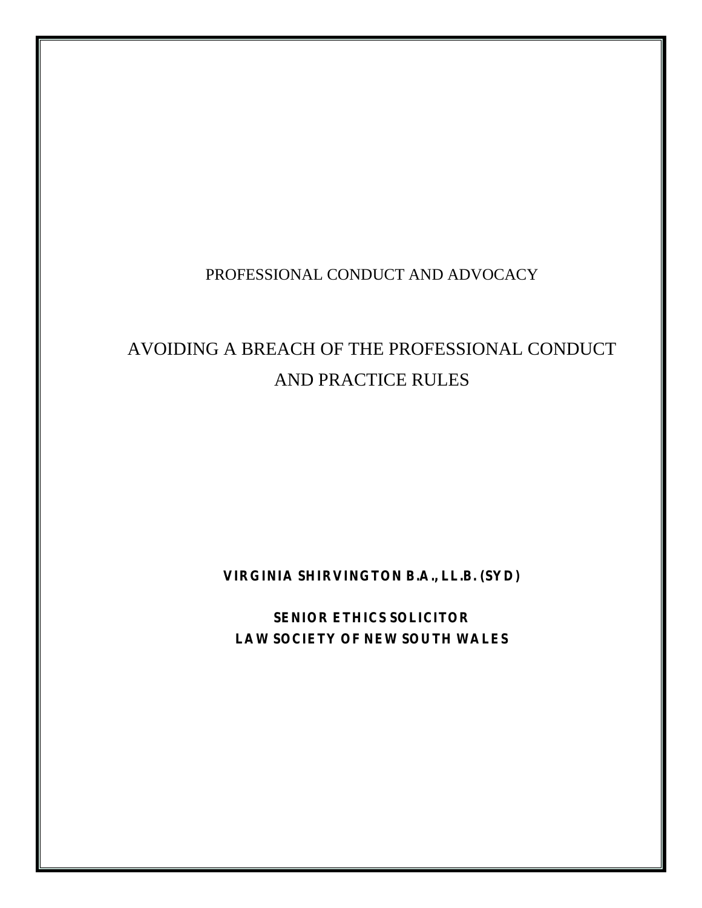### PROFESSIONAL CONDUCT AND ADVOCACY

## AVOIDING A BREACH OF THE PROFESSIONAL CONDUCT AND PRACTICE RULES

**VIRGINIA SHIRVINGTON B.A., LL.B. (SYD)**

**SENIOR ETHICS SOLICITOR LAW SOCIETY OF NEW SOUTH WALES**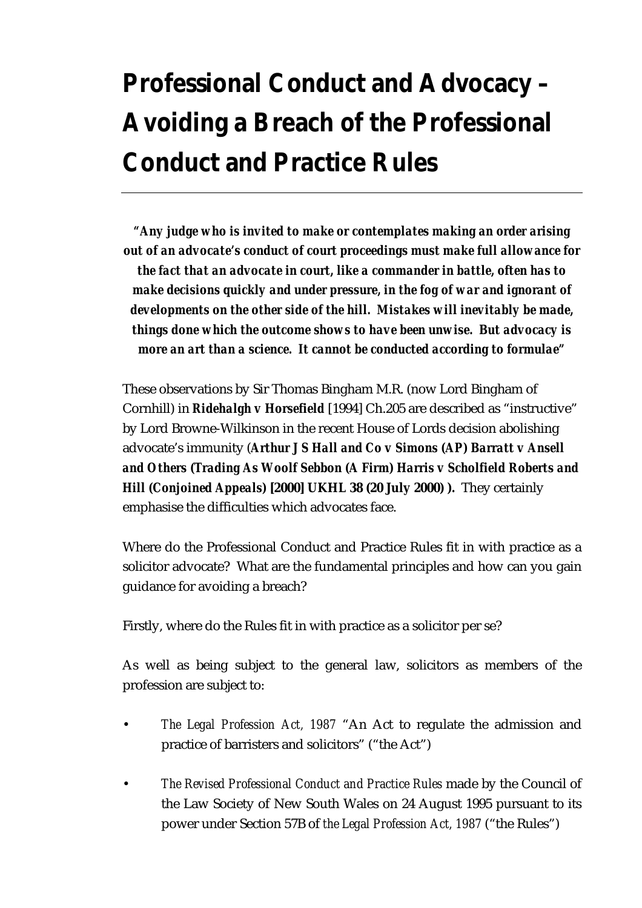# **Professional Conduct and Advocacy – Avoiding a Breach of the Professional Conduct and Practice Rules**

*"Any judge who is invited to make or contemplates making an order arising out of an advocate's conduct of court proceedings must make full allowance for the fact that an advocate in court, like a commander in battle, often has to make decisions quickly and under pressure, in the fog of war and ignorant of developments on the other side of the hill. Mistakes will inevitably be made, things done which the outcome shows to have been unwise. But advocacy is more an art than a science. It cannot be conducted according to formulae"*

These observations by Sir Thomas Bingham M.R. (now Lord Bingham of Cornhill) in *Ridehalgh v Horsefield* [1994] Ch.205 are described as "instructive" by Lord Browne-Wilkinson in the recent House of Lords decision abolishing advocate's immunity (*Arthur J S Hall and Co v Simons (AP) Barratt v Ansell and Others (Trading As Woolf Sebbon (A Firm) Harris v Scholfield Roberts and Hill (Conjoined Appeals)* **[2000] UKHL 38 (20 July 2000) ).** They certainly emphasise the difficulties which advocates face.

Where do the Professional Conduct and Practice Rules fit in with practice as a solicitor advocate? What are the fundamental principles and how can you gain guidance for avoiding a breach?

Firstly, where do the Rules fit in with practice as a solicitor per se?

As well as being subject to the general law, solicitors as members of the profession are subject to:

- *The Legal Profession Act, 1987* "An Act to regulate the admission and practice of barristers and solicitors" ("the Act")
- *The Revised Professional Conduct and Practice Rules* made by the Council of the Law Society of New South Wales on 24 August 1995 pursuant to its power under Section 57B of *the Legal Profession Act, 1987* ("the Rules")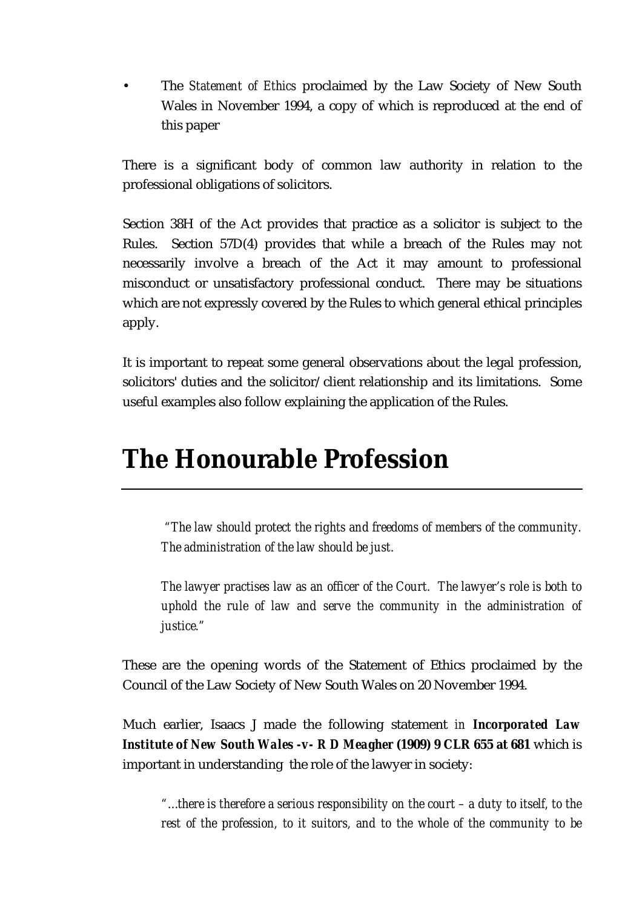• The *Statement of Ethics* proclaimed by the Law Society of New South Wales in November 1994, a copy of which is reproduced at the end of this paper

There is a significant body of common law authority in relation to the professional obligations of solicitors.

Section 38H of the Act provides that practice as a solicitor is subject to the Rules. Section 57D(4) provides that while a breach of the Rules may not necessarily involve a breach of the Act it may amount to professional misconduct or unsatisfactory professional conduct. There may be situations which are not expressly covered by the Rules to which general ethical principles apply.

It is important to repeat some general observations about the legal profession, solicitors' duties and the solicitor/client relationship and its limitations. Some useful examples also follow explaining the application of the Rules.

# **The Honourable Profession**

 *"The law should protect the rights and freedoms of members of the community. The administration of the law should be just.*

*The lawyer practises law as an officer of the Court. The lawyer's role is both to uphold the rule of law and serve the community in the administration of justice."*

These are the opening words of the Statement of Ethics proclaimed by the Council of the Law Society of New South Wales on 20 November 1994.

Much earlier, Isaacs J made the following statement *in Incorporated Law Institute of New South Wales -v- R D Meagher* **(1909) 9 CLR 655 at 681** which is important in understanding the role of the lawyer in society:

*"… there is therefore a serious responsibility on the court – a duty to itself, to the rest of the profession, to it suitors, and to the whole of the community to be*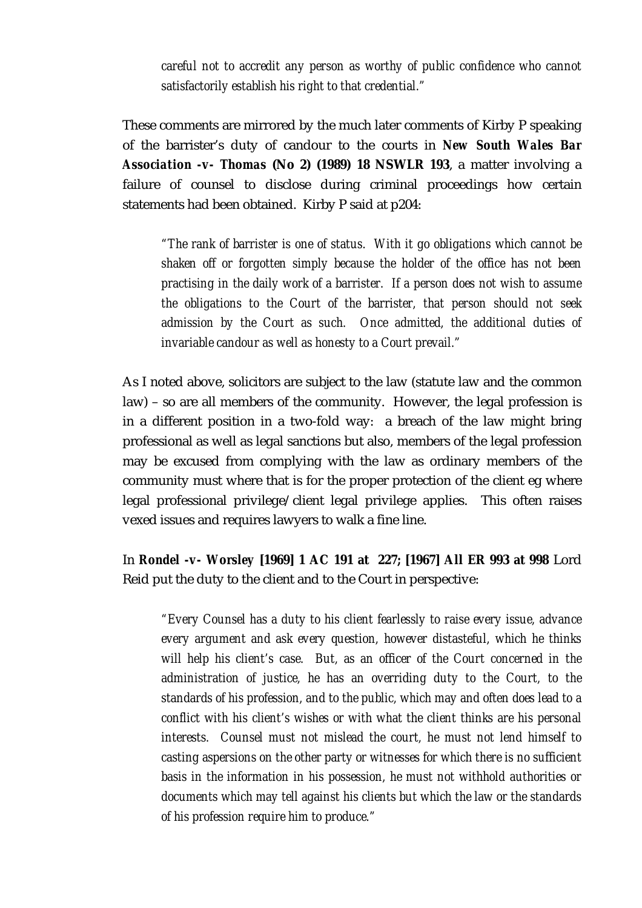*careful not to accredit any person as worthy of public confidence who cannot satisfactorily establish his right to that credential."*

These comments are mirrored by the much later comments of Kirby P speaking of the barrister's duty of candour to the courts in *New South Wales Bar Association -v- Thomas* **(No 2) (1989) 18 NSWLR 193**, a matter involving a failure of counsel to disclose during criminal proceedings how certain statements had been obtained. Kirby P said at p204:

*"The rank of barrister is one of status. With it go obligations which cannot be shaken off or forgotten simply because the holder of the office has not been practising in the daily work of a barrister. If a person does not wish to assume the obligations to the Court of the barrister, that person should not seek admission by the Court as such. Once admitted, the additional duties of invariable candour as well as honesty to a Court prevail."*

As I noted above, solicitors are subject to the law (statute law and the common law) – so are all members of the community. However, the legal profession is in a different position in a two-fold way: a breach of the law might bring professional as well as legal sanctions but also, members of the legal profession may be excused from complying with the law as ordinary members of the community must where that is for the proper protection of the client eg where legal professional privilege/client legal privilege applies. This often raises vexed issues and requires lawyers to walk a fine line.

In *Rondel -v- Worsley* **[1969] 1 AC 191 at 227; [1967] All ER 993 at 998** Lord Reid put the duty to the client and to the Court in perspective:

*"Every Counsel has a duty to his client fearlessly to raise every issue, advance every argument and ask every question, however distasteful, which he thinks will help his client's case. But, as an officer of the Court concerned in the administration of justice, he has an overriding duty to the Court, to the standards of his profession, and to the public, which may and often does lead to a conflict with his client's wishes or with what the client thinks are his personal interests. Counsel must not mislead the court, he must not lend himself to casting aspersions on the other party or witnesses for which there is no sufficient basis in the information in his possession, he must not withhold authorities or documents which may tell against his clients but which the law or the standards of his profession require him to produce."*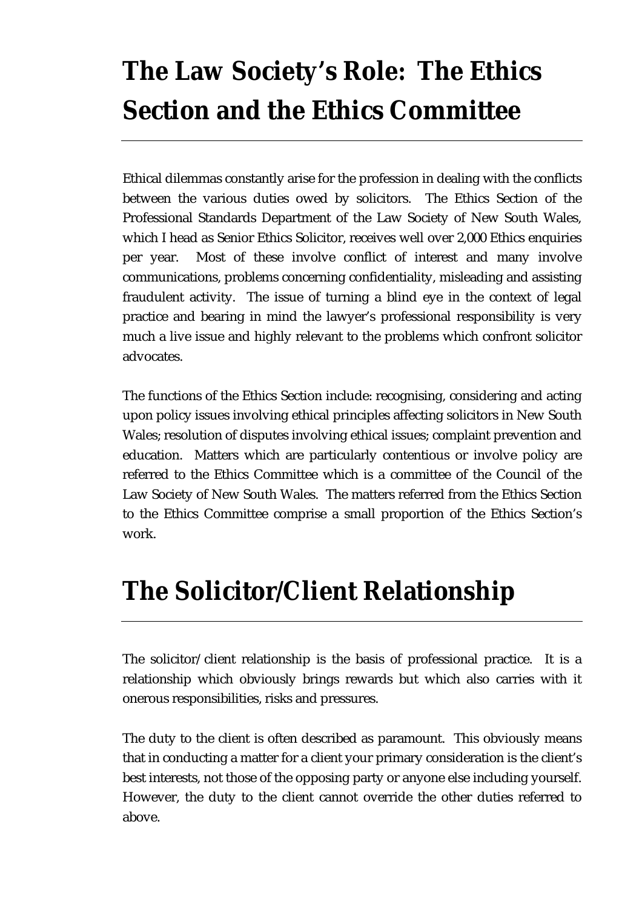# **The Law Society's Role: The Ethics Section and the Ethics Committee**

Ethical dilemmas constantly arise for the profession in dealing with the conflicts between the various duties owed by solicitors. The Ethics Section of the Professional Standards Department of the Law Society of New South Wales, which I head as Senior Ethics Solicitor, receives well over 2,000 Ethics enquiries per year. Most of these involve conflict of interest and many involve communications, problems concerning confidentiality, misleading and assisting fraudulent activity. The issue of turning a blind eye in the context of legal practice and bearing in mind the lawyer's professional responsibility is very much a live issue and highly relevant to the problems which confront solicitor advocates.

The functions of the Ethics Section include: recognising, considering and acting upon policy issues involving ethical principles affecting solicitors in New South Wales; resolution of disputes involving ethical issues; complaint prevention and education. Matters which are particularly contentious or involve policy are referred to the Ethics Committee which is a committee of the Council of the Law Society of New South Wales. The matters referred from the Ethics Section to the Ethics Committee comprise a small proportion of the Ethics Section's work.

# **The Solicitor/Client Relationship**

The solicitor/client relationship is the basis of professional practice. It is a relationship which obviously brings rewards but which also carries with it onerous responsibilities, risks and pressures.

The duty to the client is often described as paramount. This obviously means that in conducting a matter for a client your primary consideration is the client's best interests, not those of the opposing party or anyone else including yourself. However, the duty to the client cannot override the other duties referred to above.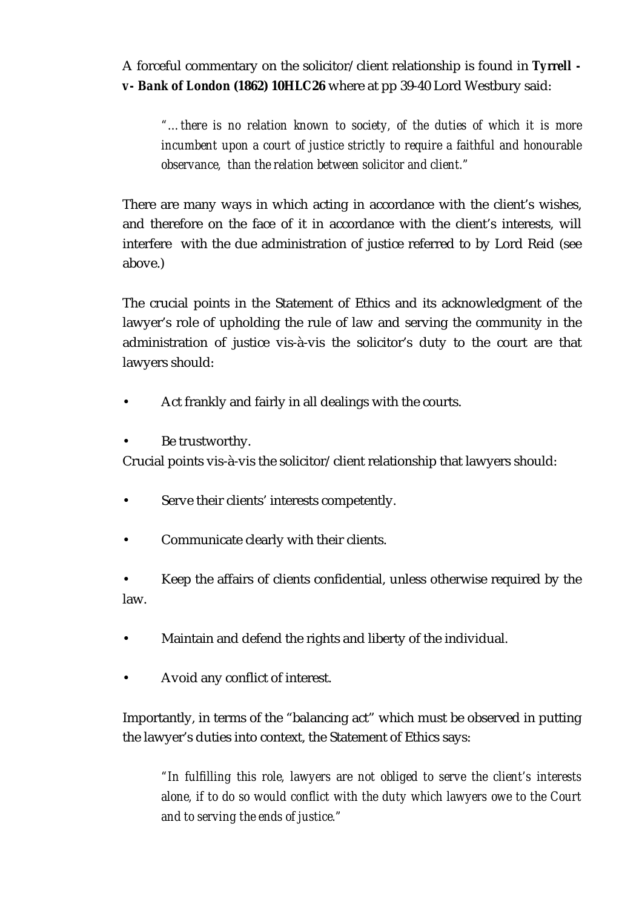A forceful commentary on the solicitor/client relationship is found in *Tyrrell v- Bank of London* **(1862) 10HLC26** where at pp 39-40 Lord Westbury said:

*"… there is no relation known to society, of the duties of which it is more incumbent upon a court of justice strictly to require a faithful and honourable observance, than the relation between solicitor and client."*

There are many ways in which acting in accordance with the client's wishes, and therefore on the face of it in accordance with the client's interests, will interfere with the due administration of justice referred to by Lord Reid (see above.)

The crucial points in the Statement of Ethics and its acknowledgment of the lawyer's role of upholding the rule of law and serving the community in the administration of justice vis-à-vis the solicitor's duty to the court are that lawyers should:

- Act frankly and fairly in all dealings with the courts.
- Be trustworthy.

Crucial points vis-à-vis the solicitor/client relationship that lawyers should:

- Serve their clients' interests competently.
- Communicate clearly with their clients.

• Keep the affairs of clients confidential, unless otherwise required by the law.

- Maintain and defend the rights and liberty of the individual.
- Avoid any conflict of interest.

Importantly, in terms of the "balancing act" which must be observed in putting the lawyer's duties into context, the Statement of Ethics says:

*"In fulfilling this role, lawyers are not obliged to serve the client's interests alone, if to do so would conflict with the duty which lawyers owe to the Court and to serving the ends of justice."*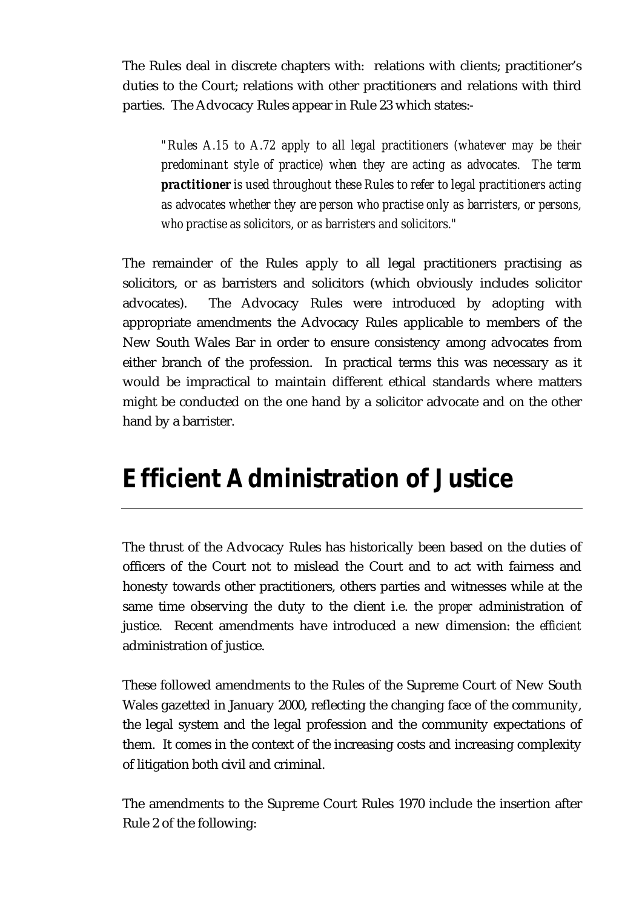The Rules deal in discrete chapters with: relations with clients; practitioner's duties to the Court; relations with other practitioners and relations with third parties. The Advocacy Rules appear in Rule 23 which states:-

*"Rules A.15 to A.72 apply to all legal practitioners (whatever may be their predominant style of practice) when they are acting as advocates. The term practitioner is used throughout these Rules to refer to legal practitioners acting as advocates whether they are person who practise only as barristers, or persons, who practise as solicitors, or as barristers and solicitors."*

The remainder of the Rules apply to all legal practitioners practising as solicitors, or as barristers and solicitors (which obviously includes solicitor advocates). The Advocacy Rules were introduced by adopting with appropriate amendments the Advocacy Rules applicable to members of the New South Wales Bar in order to ensure consistency among advocates from either branch of the profession. In practical terms this was necessary as it would be impractical to maintain different ethical standards where matters might be conducted on the one hand by a solicitor advocate and on the other hand by a barrister.

## **Efficient Administration of Justice**

The thrust of the Advocacy Rules has historically been based on the duties of officers of the Court not to mislead the Court and to act with fairness and honesty towards other practitioners, others parties and witnesses while at the same time observing the duty to the client i.e. the *proper* administration of justice. Recent amendments have introduced a new dimension: the *efficient* administration of justice.

These followed amendments to the Rules of the Supreme Court of New South Wales gazetted in January 2000, reflecting the changing face of the community, the legal system and the legal profession and the community expectations of them. It comes in the context of the increasing costs and increasing complexity of litigation both civil and criminal.

The amendments to the Supreme Court Rules 1970 include the insertion after Rule 2 of the following: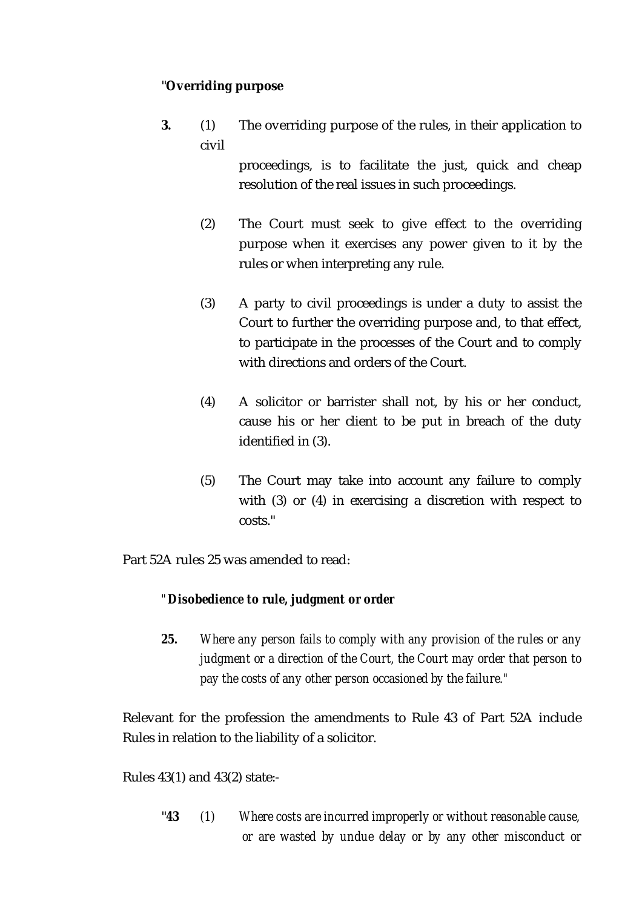#### "**Overriding purpose**

**3.** (1) The overriding purpose of the rules, in their application to civil

> proceedings, is to facilitate the just, quick and cheap resolution of the real issues in such proceedings.

- (2) The Court must seek to give effect to the overriding purpose when it exercises any power given to it by the rules or when interpreting any rule.
- (3) A party to civil proceedings is under a duty to assist the Court to further the overriding purpose and, to that effect, to participate in the processes of the Court and to comply with directions and orders of the Court.
- (4) A solicitor or barrister shall not, by his or her conduct, cause his or her client to be put in breach of the duty identified in (3).
- (5) The Court may take into account any failure to comply with (3) or (4) in exercising a discretion with respect to costs."

Part 52A rules 25 was amended to read:

#### *"Disobedience to rule, judgment or order*

*25. Where any person fails to comply with any provision of the rules or any judgment or a direction of the Court, the Court may order that person to pay the costs of any other person occasioned by the failure."*

Relevant for the profession the amendments to Rule 43 of Part 52A include Rules in relation to the liability of a solicitor.

Rules 43(1) and 43(2) state:-

"*43 (1) Where costs are incurred improperly or without reasonable cause, or are wasted by undue delay or by any other misconduct or*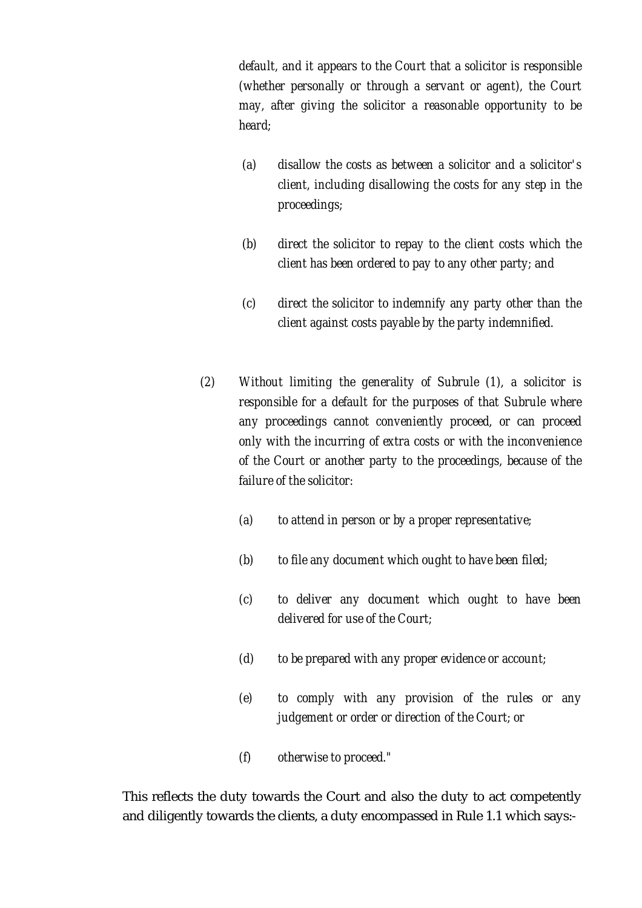*default, and it appears to the Court that a solicitor is responsible (whether personally or through a servant or agent), the Court may, after giving the solicitor a reasonable opportunity to be heard;*

- *(a) disallow the costs as between a solicitor and a solicitor's client, including disallowing the costs for any step in the proceedings;*
- *(b) direct the solicitor to repay to the client costs which the client has been ordered to pay to any other party; and*
- *(c) direct the solicitor to indemnify any party other than the client against costs payable by the party indemnified.*
- *(2) Without limiting the generality of Subrule (1), a solicitor is responsible for a default for the purposes of that Subrule where any proceedings cannot conveniently proceed, or can proceed only with the incurring of extra costs or with the inconvenience of the Court or another party to the proceedings, because of the failure of the solicitor:*
	- *(a) to attend in person or by a proper representative;*
	- *(b) to file any document which ought to have been filed;*
	- *(c) to deliver any document which ought to have been delivered for use of the Court;*
	- *(d) to be prepared with any proper evidence or account;*
	- *(e) to comply with any provision of the rules or any judgement or order or direction of the Court; or*
	- *(f) otherwise to proceed."*

This reflects the duty towards the Court and also the duty to act competently and diligently towards the clients, a duty encompassed in Rule 1.1 which says:-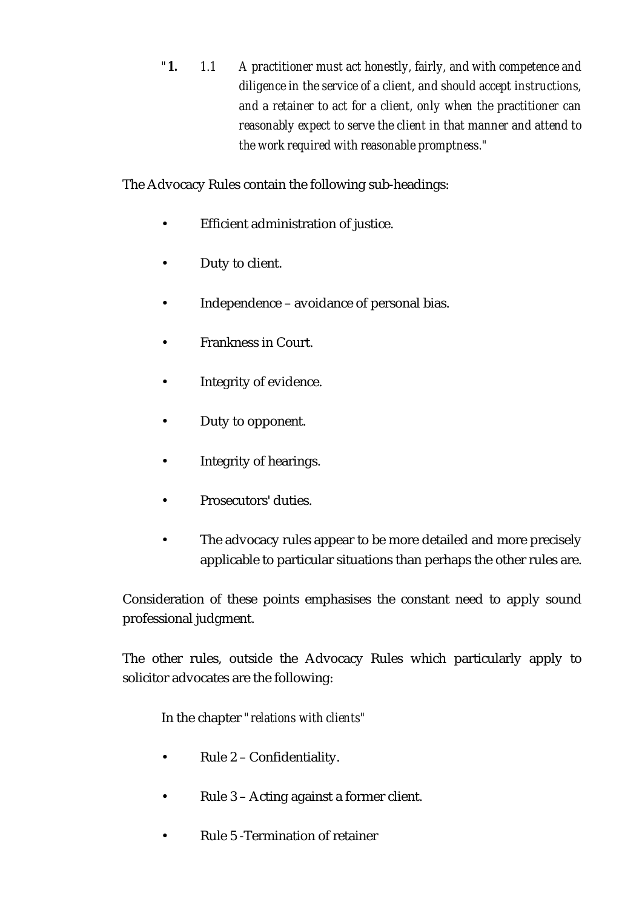*"1. 1.1 A practitioner must act honestly, fairly, and with competence and diligence in the service of a client, and should accept instructions, and a retainer to act for a client, only when the practitioner can reasonably expect to serve the client in that manner and attend to the work required with reasonable promptness."*

The Advocacy Rules contain the following sub-headings:

- Efficient administration of justice.
- Duty to client.
- Independence avoidance of personal bias.
- Frankness in Court.
- Integrity of evidence.
- Duty to opponent.
- Integrity of hearings.
- Prosecutors' duties.
- The advocacy rules appear to be more detailed and more precisely applicable to particular situations than perhaps the other rules are.

Consideration of these points emphasises the constant need to apply sound professional judgment.

The other rules, outside the Advocacy Rules which particularly apply to solicitor advocates are the following:

In the chapter *"relations with clients"*

- Rule 2 Confidentiality.
- Rule 3 Acting against a former client.
- Rule 5 -Termination of retainer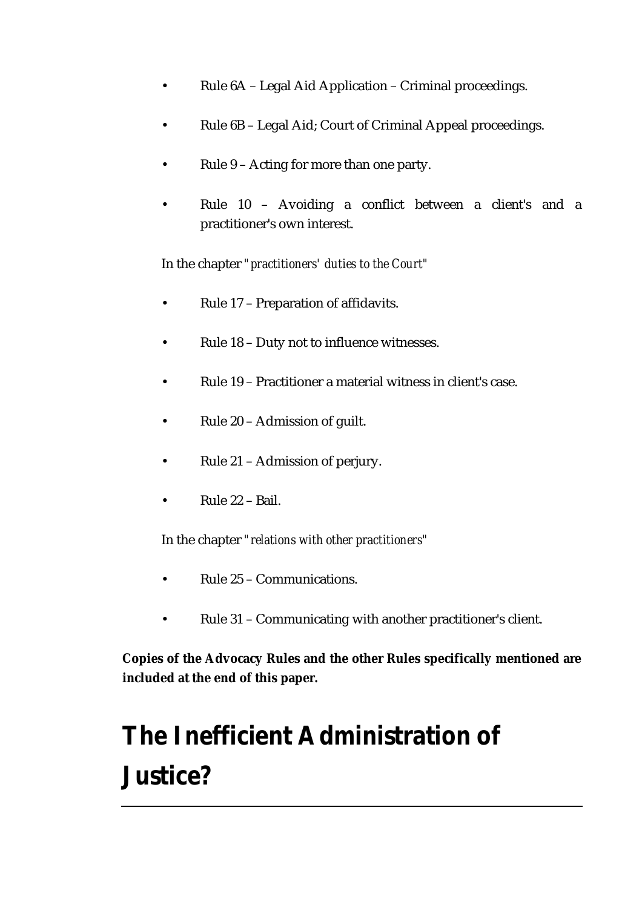- Rule 6A Legal Aid Application Criminal proceedings.
- Rule 6B Legal Aid; Court of Criminal Appeal proceedings.
- Rule 9 Acting for more than one party.
- Rule 10 Avoiding a conflict between a client's and a practitioner's own interest.

In the chapter *"practitioners' duties to the Court"*

- Rule 17 Preparation of affidavits.
- Rule 18 Duty not to influence witnesses.
- Rule 19 Practitioner a material witness in client's case.
- Rule 20 Admission of guilt.
- Rule 21 Admission of perjury.
- Rule 22 Bail.

In the chapter *"relations with other practitioners"*

- Rule 25 Communications.
- Rule 31 Communicating with another practitioner's client.

**Copies of the Advocacy Rules and the other Rules specifically mentioned are included at the end of this paper.**

# **The** *In***efficient Administration of Justice?**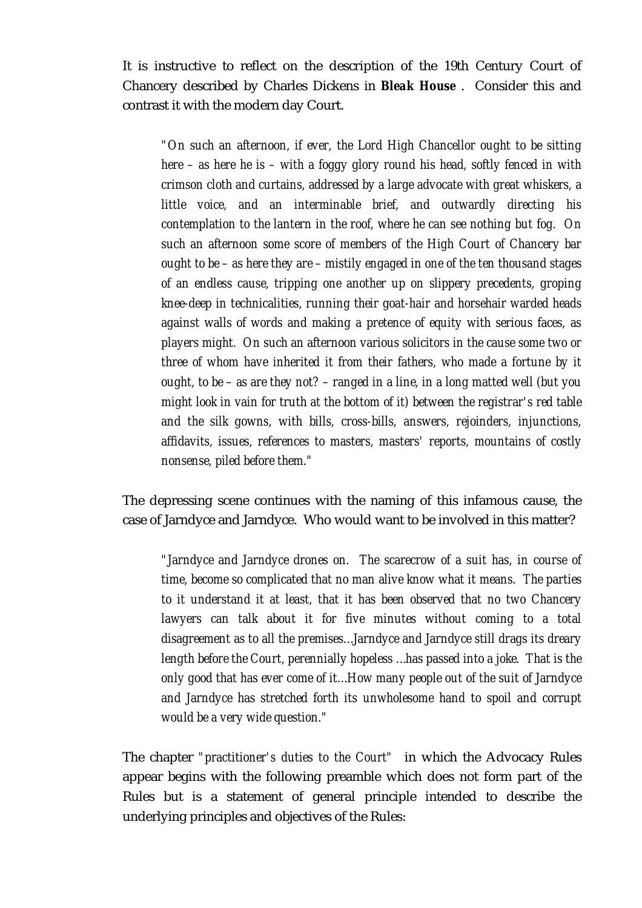It is instructive to reflect on the description of the 19th Century Court of Chancery described by Charles Dickens in *Bleak House* . Consider this and contrast it with the modern day Court.

*"On such an afternoon, if ever, the Lord High Chancellor ought to be sitting here – as here he is – with a foggy glory round his head, softly fenced in with crimson cloth and curtains, addressed by a large advocate with great whiskers, a little voice, and an interminable brief, and outwardly directing his contemplation to the lantern in the roof, where he can see nothing but fog. On such an afternoon some score of members of the High Court of Chancery bar ought to be – as here they are – mistily engaged in one of the ten thousand stages of an endless cause, tripping one another up on slippery precedents, groping knee-deep in technicalities, running their goat-hair and horsehair warded heads against walls of words and making a pretence of equity with serious faces, as players might. On such an afternoon various solicitors in the cause some two or three of whom have inherited it from their fathers, who made a fortune by it ought, to be – as are they not? – ranged in a line, in a long matted well (but you might look in vain for truth at the bottom of it) between the registrar's red table and the silk gowns, with bills, cross-bills, answers, rejoinders, injunctions, affidavits, issues, references to masters, masters' reports, mountains of costly nonsense, piled before them."*

The depressing scene continues with the naming of this infamous cause, the case of Jarndyce and Jarndyce. Who would want to be involved in this matter?

*"Jarndyce and Jarndyce drones on. The scarecrow of a suit has, in course of time, become so complicated that no man alive know what it means. The parties to it understand it at least, that it has been observed that no two Chancery lawyers can talk about it for five minutes without coming to a total disagreement as to all the premises… Jarndyce and Jarndyce still drags its dreary length before the Court, perennially hopeless … has passed into a joke. That is the only good that has ever come of it… How many people out of the suit of Jarndyce and Jarndyce has stretched forth its unwholesome hand to spoil and corrupt would be a very wide question."*

The chapter *"practitioner's duties to the Court"* in which the Advocacy Rules appear begins with the following preamble which does not form part of the Rules but is a statement of general principle intended to describe the underlying principles and objectives of the Rules: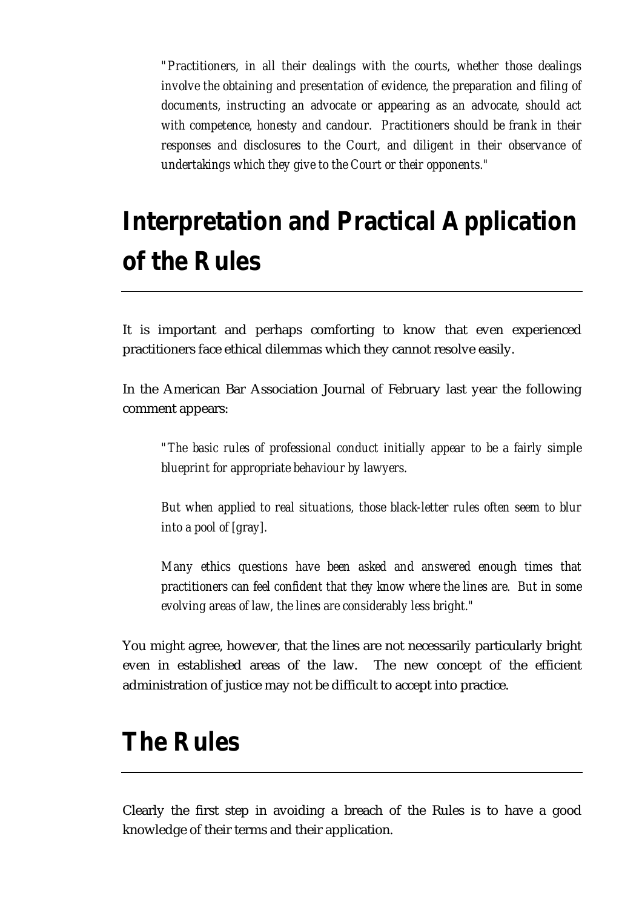*"Practitioners, in all their dealings with the courts, whether those dealings involve the obtaining and presentation of evidence, the preparation and filing of documents, instructing an advocate or appearing as an advocate, should act with competence, honesty and candour. Practitioners should be frank in their responses and disclosures to the Court, and diligent in their observance of undertakings which they give to the Court or their opponents."*

# **Interpretation and Practical Application of the Rules**

It is important and perhaps comforting to know that even experienced practitioners face ethical dilemmas which they cannot resolve easily.

In the American Bar Association Journal of February last year the following comment appears:

*"The basic rules of professional conduct initially appear to be a fairly simple blueprint for appropriate behaviour by lawyers.*

*But when applied to real situations, those black-letter rules often seem to blur into a pool of [gray].*

*Many ethics questions have been asked and answered enough times that practitioners can feel confident that they know where the lines are. But in some evolving areas of law, the lines are considerably less bright."*

You might agree, however, that the lines are not necessarily particularly bright even in established areas of the law. The new concept of the efficient administration of justice may not be difficult to accept into practice.

## **The Rules**

Clearly the first step in avoiding a breach of the Rules is to have a good knowledge of their terms and their application.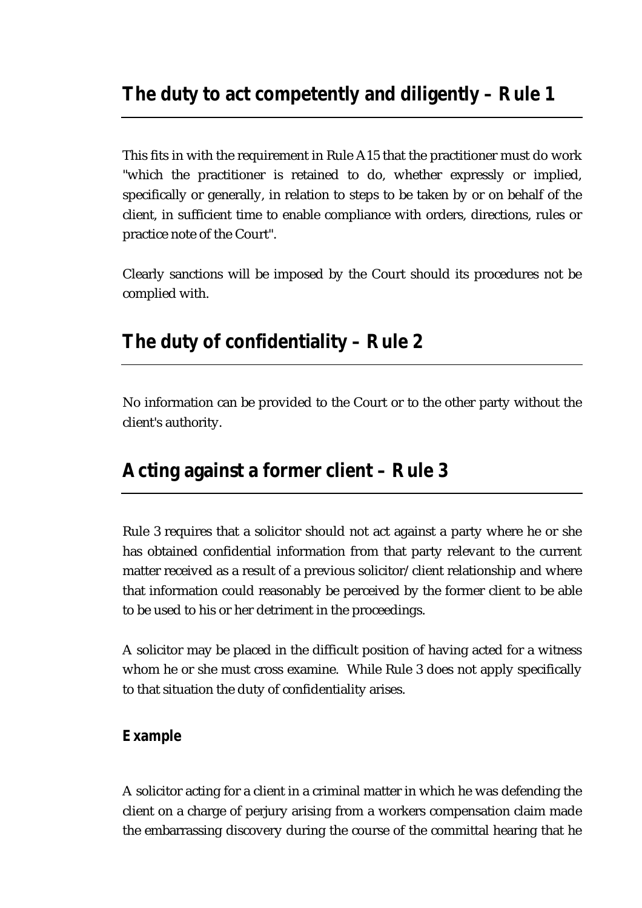### **The duty to act competently and diligently – Rule 1**

This fits in with the requirement in Rule A15 that the practitioner must do work "which the practitioner is retained to do, whether expressly or implied, specifically or generally, in relation to steps to be taken by or on behalf of the client, in sufficient time to enable compliance with orders, directions, rules or practice note of the Court".

Clearly sanctions will be imposed by the Court should its procedures not be complied with.

### **The duty of confidentiality – Rule 2**

No information can be provided to the Court or to the other party without the client's authority.

### **Acting against a former client – Rule 3**

Rule 3 requires that a solicitor should not act against a party where he or she has obtained confidential information from that party relevant to the current matter received as a result of a previous solicitor/client relationship and where that information could reasonably be perceived by the former client to be able to be used to his or her detriment in the proceedings.

A solicitor may be placed in the difficult position of having acted for a witness whom he or she must cross examine. While Rule 3 does not apply specifically to that situation the duty of confidentiality arises.

### **Example**

A solicitor acting for a client in a criminal matter in which he was defending the client on a charge of perjury arising from a workers compensation claim made the embarrassing discovery during the course of the committal hearing that he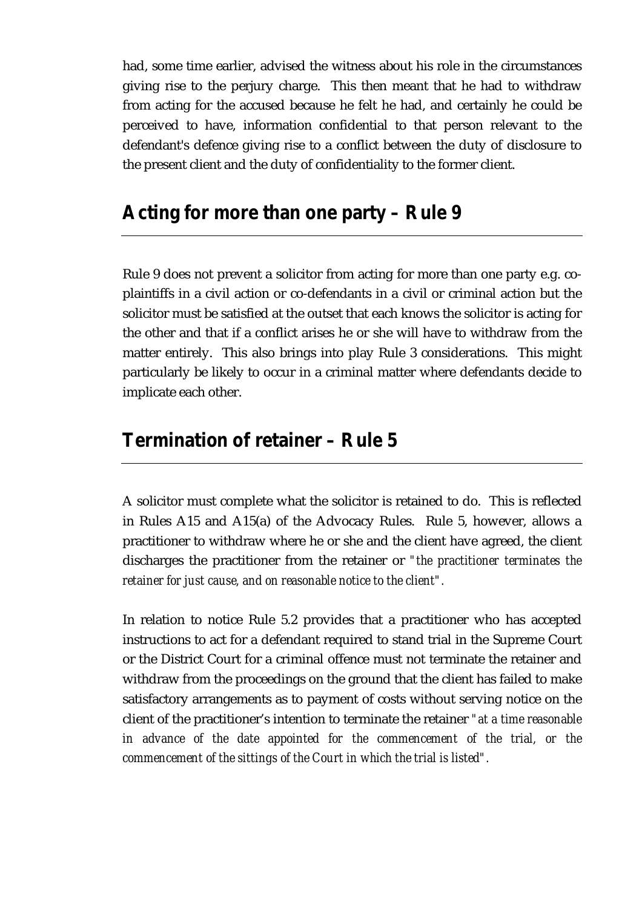had, some time earlier, advised the witness about his role in the circumstances giving rise to the perjury charge. This then meant that he had to withdraw from acting for the accused because he felt he had, and certainly he could be perceived to have, information confidential to that person relevant to the defendant's defence giving rise to a conflict between the duty of disclosure to the present client and the duty of confidentiality to the former client.

### **Acting for more than one party – Rule 9**

Rule 9 does not prevent a solicitor from acting for more than one party e.g. coplaintiffs in a civil action or co-defendants in a civil or criminal action but the solicitor must be satisfied at the outset that each knows the solicitor is acting for the other and that if a conflict arises he or she will have to withdraw from the matter entirely. This also brings into play Rule 3 considerations. This might particularly be likely to occur in a criminal matter where defendants decide to implicate each other.

### **Termination of retainer – Rule 5**

A solicitor must complete what the solicitor is retained to do. This is reflected in Rules A15 and A15(a) of the Advocacy Rules. Rule 5, however, allows a practitioner to withdraw where he or she and the client have agreed, the client discharges the practitioner from the retainer or *"the practitioner terminates the retainer for just cause, and on reasonable notice to the client".*

In relation to notice Rule 5.2 provides that a practitioner who has accepted instructions to act for a defendant required to stand trial in the Supreme Court or the District Court for a criminal offence must not terminate the retainer and withdraw from the proceedings on the ground that the client has failed to make satisfactory arrangements as to payment of costs without serving notice on the client of the practitioner's intention to terminate the retainer *"at a time reasonable in advance of the date appointed for the commencement of the trial, or the commencement of the sittings of the Court in which the trial is listed".*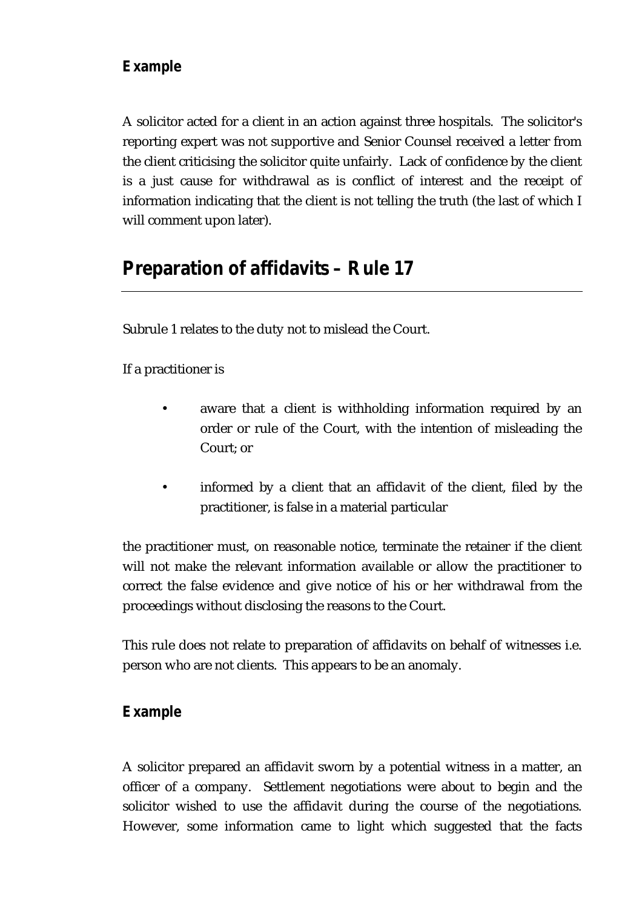### **Example**

A solicitor acted for a client in an action against three hospitals. The solicitor's reporting expert was not supportive and Senior Counsel received a letter from the client criticising the solicitor quite unfairly. Lack of confidence by the client is a just cause for withdrawal as is conflict of interest and the receipt of information indicating that the client is not telling the truth (the last of which I will comment upon later).

### **Preparation of affidavits – Rule 17**

Subrule 1 relates to the duty not to mislead the Court.

If a practitioner is

- aware that a client is withholding information required by an order or rule of the Court, with the intention of misleading the Court; or
- informed by a client that an affidavit of the client, filed by the practitioner, is false in a material particular

the practitioner must, on reasonable notice, terminate the retainer if the client will not make the relevant information available or allow the practitioner to correct the false evidence and give notice of his or her withdrawal from the proceedings without disclosing the reasons to the Court.

This rule does not relate to preparation of affidavits on behalf of witnesses i.e. person who are not clients. This appears to be an anomaly.

#### **Example**

A solicitor prepared an affidavit sworn by a potential witness in a matter, an officer of a company. Settlement negotiations were about to begin and the solicitor wished to use the affidavit during the course of the negotiations. However, some information came to light which suggested that the facts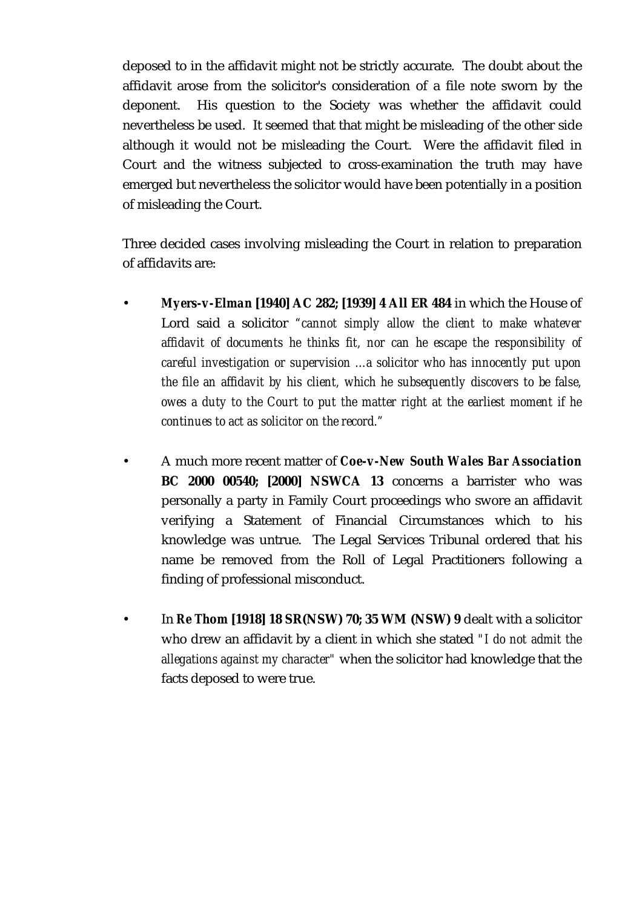deposed to in the affidavit might not be strictly accurate. The doubt about the affidavit arose from the solicitor's consideration of a file note sworn by the deponent. His question to the Society was whether the affidavit could nevertheless be used. It seemed that that might be misleading of the other side although it would not be misleading the Court. Were the affidavit filed in Court and the witness subjected to cross-examination the truth may have emerged but nevertheless the solicitor would have been potentially in a position of misleading the Court.

Three decided cases involving misleading the Court in relation to preparation of affidavits are:

- *Myers-v-Elman* **[1940] AC 282; [1939] 4 All ER 484** in which the House of Lord said a solicitor *"cannot simply allow the client to make whatever affidavit of documents he thinks fit, nor can he escape the responsibility of careful investigation or supervision … a solicitor who has innocently put upon the file an affidavit by his client, which he subsequently discovers to be false, owes a duty to the Court to put the matter right at the earliest moment if he continues to act as solicitor on the record."*
- A much more recent matter of *Coe-v-New South Wales Bar Association* **BC 2000 00540; [2000] NSWCA 13** concerns a barrister who was personally a party in Family Court proceedings who swore an affidavit verifying a Statement of Financial Circumstances which to his knowledge was untrue. The Legal Services Tribunal ordered that his name be removed from the Roll of Legal Practitioners following a finding of professional misconduct.
- In *Re Thom* **[1918] 18 SR(NSW) 70; 35 WM (NSW) 9** dealt with a solicitor who drew an affidavit by a client in which she stated *"I do not admit the allegations against my character"* when the solicitor had knowledge that the facts deposed to were true.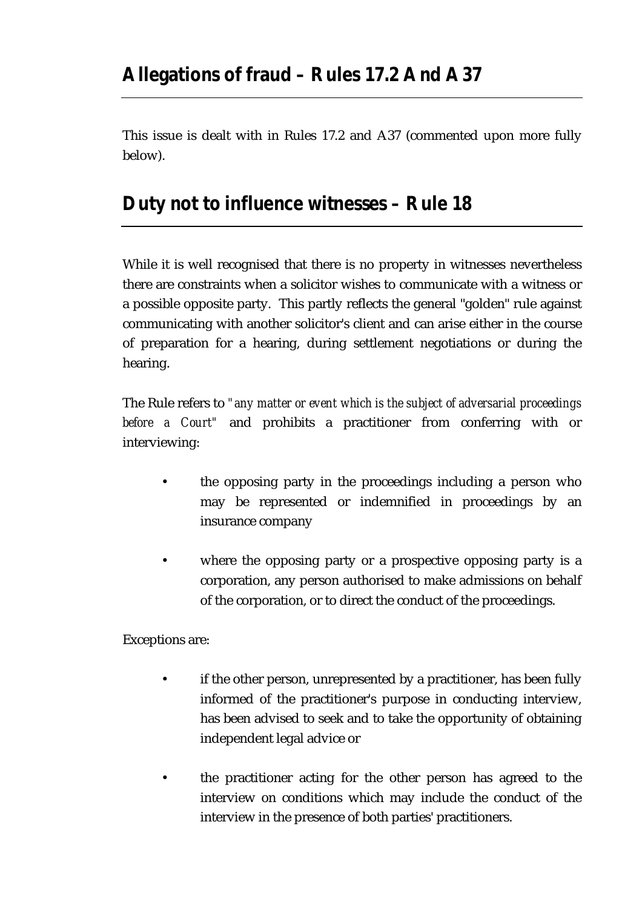This issue is dealt with in Rules 17.2 and A37 (commented upon more fully below).

### **Duty not to influence witnesses – Rule 18**

While it is well recognised that there is no property in witnesses nevertheless there are constraints when a solicitor wishes to communicate with a witness or a possible opposite party. This partly reflects the general "golden" rule against communicating with another solicitor's client and can arise either in the course of preparation for a hearing, during settlement negotiations or during the hearing.

The Rule refers to *"any matter or event which is the subject of adversarial proceedings before a Court"* and prohibits a practitioner from conferring with or interviewing:

- the opposing party in the proceedings including a person who may be represented or indemnified in proceedings by an insurance company
- where the opposing party or a prospective opposing party is a corporation, any person authorised to make admissions on behalf of the corporation, or to direct the conduct of the proceedings.

Exceptions are:

- if the other person, unrepresented by a practitioner, has been fully informed of the practitioner's purpose in conducting interview, has been advised to seek and to take the opportunity of obtaining independent legal advice or
- the practitioner acting for the other person has agreed to the interview on conditions which may include the conduct of the interview in the presence of both parties' practitioners.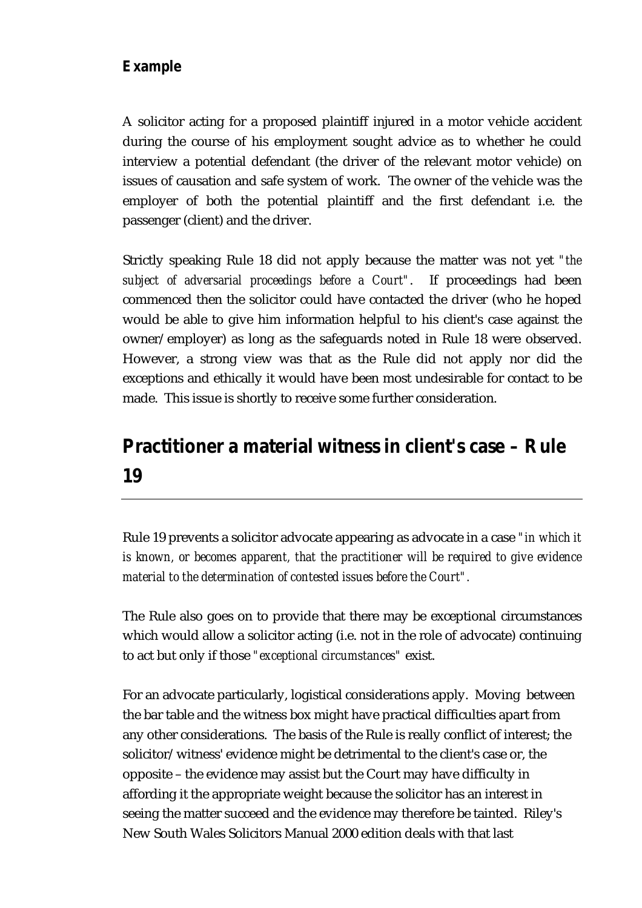### **Example**

A solicitor acting for a proposed plaintiff injured in a motor vehicle accident during the course of his employment sought advice as to whether he could interview a potential defendant (the driver of the relevant motor vehicle) on issues of causation and safe system of work. The owner of the vehicle was the employer of both the potential plaintiff and the first defendant i.e. the passenger (client) and the driver.

Strictly speaking Rule 18 did not apply because the matter was not yet *"the subject of adversarial proceedings before a Court"*. If proceedings had been commenced then the solicitor could have contacted the driver (who he hoped would be able to give him information helpful to his client's case against the owner/employer) as long as the safeguards noted in Rule 18 were observed. However, a strong view was that as the Rule did not apply nor did the exceptions and ethically it would have been most undesirable for contact to be made. This issue is shortly to receive some further consideration.

## **Practitioner a material witness in client's case – Rule 19**

Rule 19 prevents a solicitor advocate appearing as advocate in a case *"in which it is known, or becomes apparent, that the practitioner will be required to give evidence material to the determination of contested issues before the Court".*

The Rule also goes on to provide that there may be exceptional circumstances which would allow a solicitor acting (i.e. not in the role of advocate) continuing to act but only if those *"exceptional circumstances"* exist.

For an advocate particularly, logistical considerations apply. Moving between the bar table and the witness box might have practical difficulties apart from any other considerations. The basis of the Rule is really conflict of interest; the solicitor/witness' evidence might be detrimental to the client's case or, the opposite – the evidence may assist but the Court may have difficulty in affording it the appropriate weight because the solicitor has an interest in seeing the matter succeed and the evidence may therefore be tainted. Riley's New South Wales Solicitors Manual 2000 edition deals with that last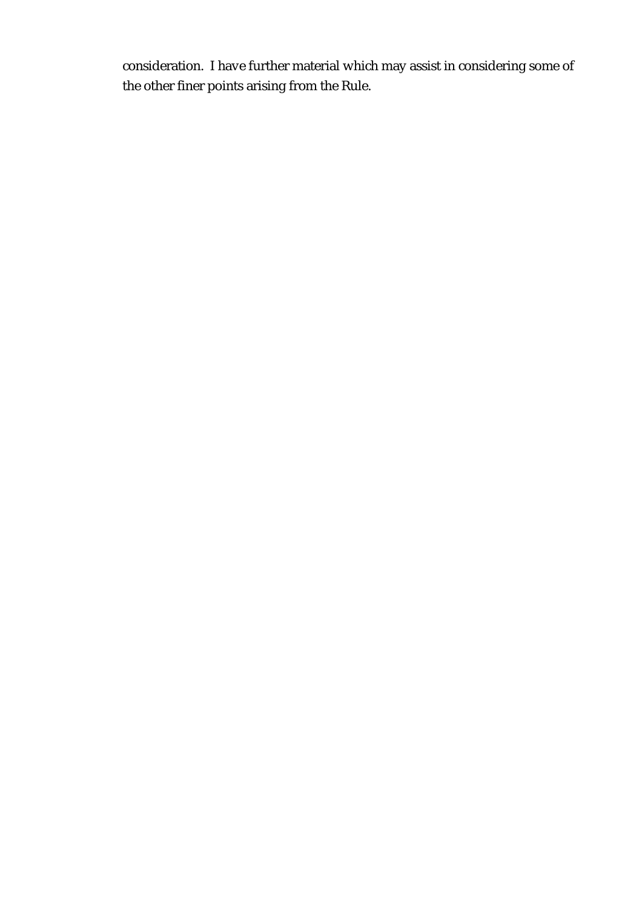consideration. I have further material which may assist in considering some of the other finer points arising from the Rule.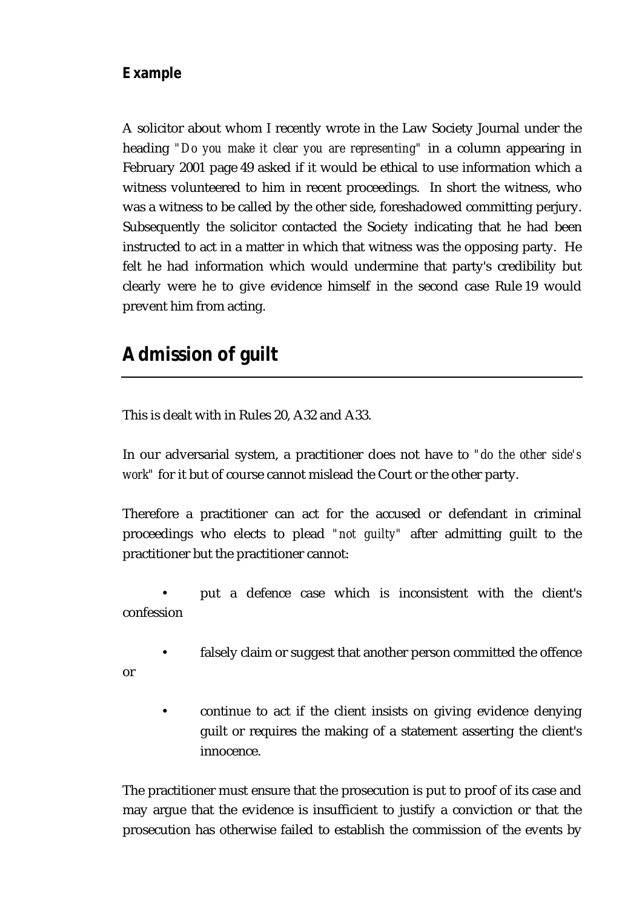### **Example**

A solicitor about whom I recently wrote in the Law Society Journal under the heading *"Do you make it clear you are representing"* in a column appearing in February 2001 page 49 asked if it would be ethical to use information which a witness volunteered to him in recent proceedings. In short the witness, who was a witness to be called by the other side, foreshadowed committing perjury. Subsequently the solicitor contacted the Society indicating that he had been instructed to act in a matter in which that witness was the opposing party. He felt he had information which would undermine that party's credibility but clearly were he to give evidence himself in the second case Rule 19 would prevent him from acting.

### **Admission of guilt**

This is dealt with in Rules 20, A32 and A33.

In our adversarial system, a practitioner does not have to *"do the other side's work"* for it but of course cannot mislead the Court or the other party.

Therefore a practitioner can act for the accused or defendant in criminal proceedings who elects to plead *"not guilty"* after admitting guilt to the practitioner but the practitioner cannot:

• put a defence case which is inconsistent with the client's confession

- falsely claim or suggest that another person committed the offence
- or
- continue to act if the client insists on giving evidence denying guilt or requires the making of a statement asserting the client's innocence.

The practitioner must ensure that the prosecution is put to proof of its case and may argue that the evidence is insufficient to justify a conviction or that the prosecution has otherwise failed to establish the commission of the events by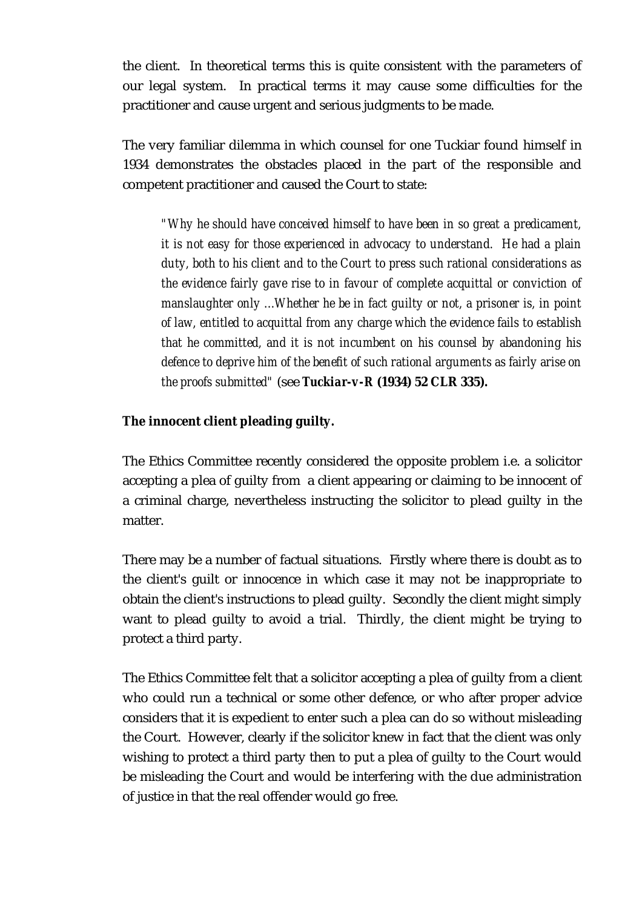the client. In theoretical terms this is quite consistent with the parameters of our legal system. In practical terms it may cause some difficulties for the practitioner and cause urgent and serious judgments to be made.

The very familiar dilemma in which counsel for one Tuckiar found himself in 1934 demonstrates the obstacles placed in the part of the responsible and competent practitioner and caused the Court to state:

*"Why he should have conceived himself to have been in so great a predicament, it is not easy for those experienced in advocacy to understand. He had a plain duty, both to his client and to the Court to press such rational considerations as the evidence fairly gave rise to in favour of complete acquittal or conviction of manslaughter only … Whether he be in fact guilty or not, a prisoner is, in point of law, entitled to acquittal from any charge which the evidence fails to establish that he committed, and it is not incumbent on his counsel by abandoning his defence to deprive him of the benefit of such rational arguments as fairly arise on the proofs submitted"* (see *Tuckiar-v-R* **(1934) 52 CLR 335).**

#### **The innocent client pleading guilty.**

The Ethics Committee recently considered the opposite problem i.e. a solicitor accepting a plea of guilty from a client appearing or claiming to be innocent of a criminal charge, nevertheless instructing the solicitor to plead guilty in the matter.

There may be a number of factual situations. Firstly where there is doubt as to the client's guilt or innocence in which case it may not be inappropriate to obtain the client's instructions to plead guilty. Secondly the client might simply want to plead guilty to avoid a trial. Thirdly, the client might be trying to protect a third party.

The Ethics Committee felt that a solicitor accepting a plea of guilty from a client who could run a technical or some other defence, or who after proper advice considers that it is expedient to enter such a plea can do so without misleading the Court. However, clearly if the solicitor knew in fact that the client was only wishing to protect a third party then to put a plea of guilty to the Court would be misleading the Court and would be interfering with the due administration of justice in that the real offender would go free.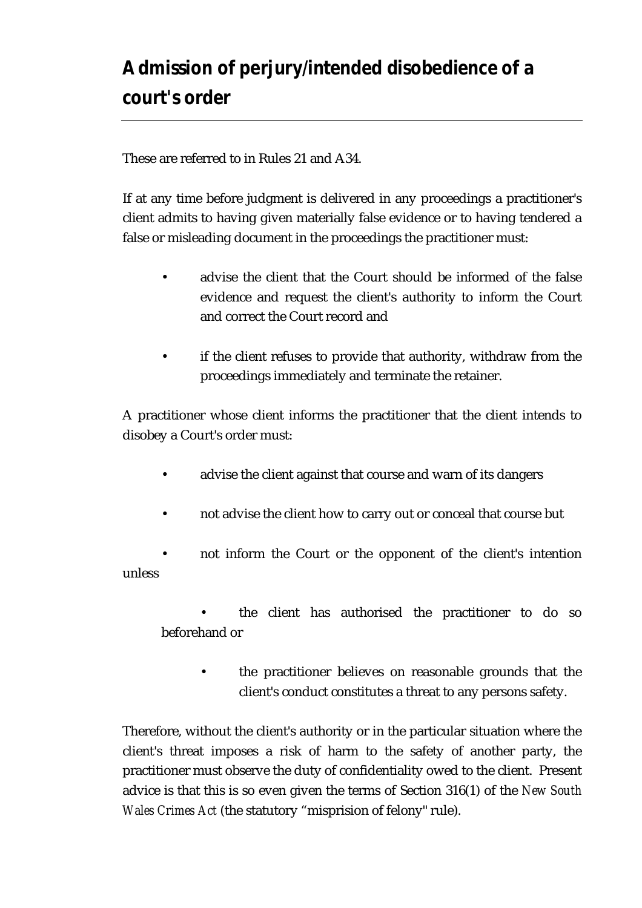## **Admission of perjury/intended disobedience of a court's order**

These are referred to in Rules 21 and A34.

If at any time before judgment is delivered in any proceedings a practitioner's client admits to having given materially false evidence or to having tendered a false or misleading document in the proceedings the practitioner must:

- advise the client that the Court should be informed of the false evidence and request the client's authority to inform the Court and correct the Court record and
- if the client refuses to provide that authority, withdraw from the proceedings immediately and terminate the retainer.

A practitioner whose client informs the practitioner that the client intends to disobey a Court's order must:

- advise the client against that course and warn of its dangers
- not advise the client how to carry out or conceal that course but

• not inform the Court or the opponent of the client's intention unless

• the client has authorised the practitioner to do so beforehand or

• the practitioner believes on reasonable grounds that the client's conduct constitutes a threat to any persons safety.

Therefore, without the client's authority or in the particular situation where the client's threat imposes a risk of harm to the safety of another party, the practitioner must observe the duty of confidentiality owed to the client. Present advice is that this is so even given the terms of Section 316(1) of the *New South Wales Crimes Act* (the statutory "misprision of felony" rule).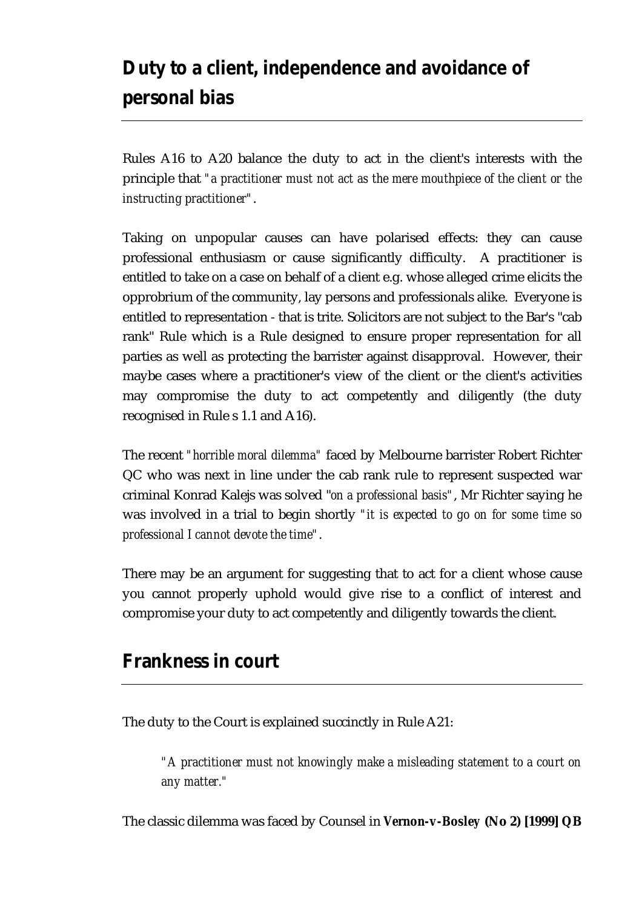## **Duty to a client, independence and avoidance of personal bias**

Rules A16 to A20 balance the duty to act in the client's interests with the principle that *"a practitioner must not act as the mere mouthpiece of the client or the instructing practitioner"*.

Taking on unpopular causes can have polarised effects: they can cause professional enthusiasm or cause significantly difficulty. A practitioner is entitled to take on a case on behalf of a client e.g. whose alleged crime elicits the opprobrium of the community, lay persons and professionals alike. Everyone is entitled to representation - that is trite. Solicitors are not subject to the Bar's "cab rank" Rule which is a Rule designed to ensure proper representation for all parties as well as protecting the barrister against disapproval. However, their maybe cases where a practitioner's view of the client or the client's activities may compromise the duty to act competently and diligently (the duty recognised in Rule s 1.1 and A16).

The recent *"horrible moral dilemma"* faced by Melbourne barrister Robert Richter QC who was next in line under the cab rank rule to represent suspected war criminal Konrad Kalejs was solved "*on a professional basis"*, Mr Richter saying he was involved in a trial to begin shortly *"it is expected to go on for some time so professional I cannot devote the time"*.

There may be an argument for suggesting that to act for a client whose cause you cannot properly uphold would give rise to a conflict of interest and compromise your duty to act competently and diligently towards the client.

### **Frankness in court**

The duty to the Court is explained succinctly in Rule A21:

*"A practitioner must not knowingly make a misleading statement to a court on any matter."*

The classic dilemma was faced by Counsel in *Vernon-v-Bosley* **(No 2) [1999] QB**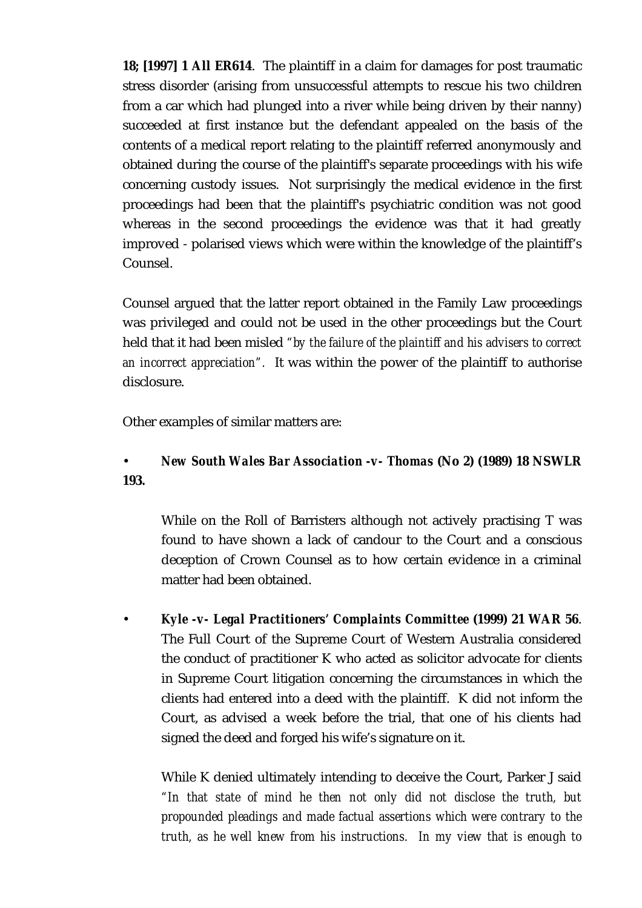**18; [1997] 1 All ER614**. The plaintiff in a claim for damages for post traumatic stress disorder (arising from unsuccessful attempts to rescue his two children from a car which had plunged into a river while being driven by their nanny) succeeded at first instance but the defendant appealed on the basis of the contents of a medical report relating to the plaintiff referred anonymously and obtained during the course of the plaintiff's separate proceedings with his wife concerning custody issues. Not surprisingly the medical evidence in the first proceedings had been that the plaintiff's psychiatric condition was not good whereas in the second proceedings the evidence was that it had greatly improved - polarised views which were within the knowledge of the plaintiff's Counsel.

Counsel argued that the latter report obtained in the Family Law proceedings was privileged and could not be used in the other proceedings but the Court held that it had been misled *"by the failure of the plaintiff and his advisers to correct an incorrect appreciation".* It was within the power of the plaintiff to authorise disclosure.

Other examples of similar matters are:

### • *New South Wales Bar Association -v- Thomas* **(No 2) (1989) 18 NSWLR 193.**

While on the Roll of Barristers although not actively practising T was found to have shown a lack of candour to the Court and a conscious deception of Crown Counsel as to how certain evidence in a criminal matter had been obtained.

• *Kyle -v- Legal Practitioners' Complaints Committee* **(1999) 21 WAR 56**. The Full Court of the Supreme Court of Western Australia considered the conduct of practitioner K who acted as solicitor advocate for clients in Supreme Court litigation concerning the circumstances in which the clients had entered into a deed with the plaintiff. K did not inform the Court, as advised a week before the trial, that one of his clients had signed the deed and forged his wife's signature on it.

While K denied ultimately intending to deceive the Court, Parker J said *"In that state of mind he then not only did not disclose the truth, but propounded pleadings and made factual assertions which were contrary to the truth, as he well knew from his instructions. In my view that is enough to*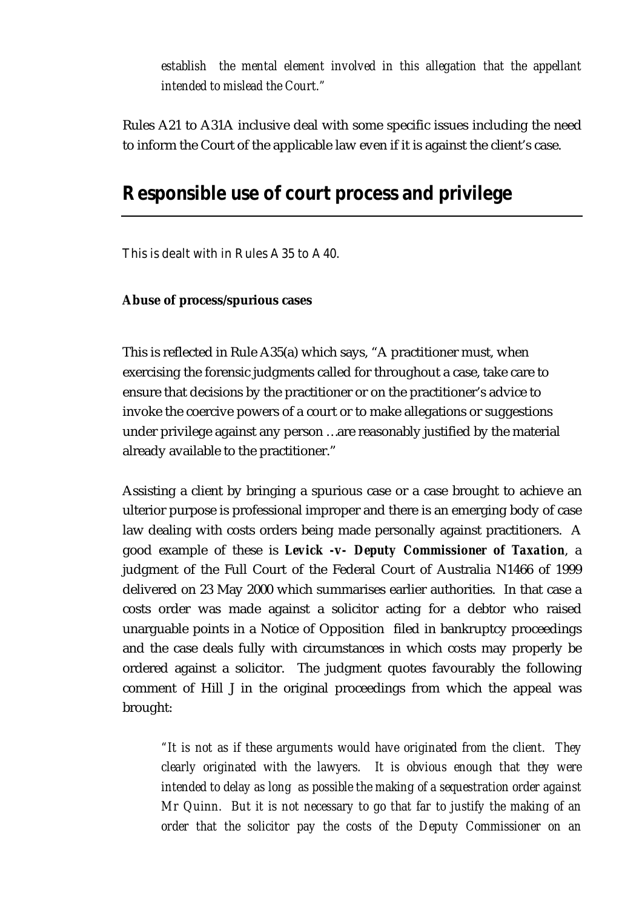*establish the mental element involved in this allegation that the appellant intended to mislead the Court."*

Rules A21 to A31A inclusive deal with some specific issues including the need to inform the Court of the applicable law even if it is against the client's case.

### **Responsible use of court process and privilege**

This is dealt with in Rules A35 to A40.

**Abuse of process/spurious cases**

This is reflected in Rule A35(a) which says, "A practitioner must, when exercising the forensic judgments called for throughout a case, take care to ensure that decisions by the practitioner or on the practitioner's advice to invoke the coercive powers of a court or to make allegations or suggestions under privilege against any person … are reasonably justified by the material already available to the practitioner."

Assisting a client by bringing a spurious case or a case brought to achieve an ulterior purpose is professional improper and there is an emerging body of case law dealing with costs orders being made personally against practitioners. A good example of these is *Levick -v- Deputy Commissioner of Taxation*, a judgment of the Full Court of the Federal Court of Australia N1466 of 1999 delivered on 23 May 2000 which summarises earlier authorities. In that case a costs order was made against a solicitor acting for a debtor who raised unarguable points in a Notice of Opposition filed in bankruptcy proceedings and the case deals fully with circumstances in which costs may properly be ordered against a solicitor. The judgment quotes favourably the following comment of Hill J in the original proceedings from which the appeal was brought:

*"It is not as if these arguments would have originated from the client. They clearly originated with the lawyers. It is obvious enough that they were intended to delay as long as possible the making of a sequestration order against Mr Quinn. But it is not necessary to go that far to justify the making of an order that the solicitor pay the costs of the Deputy Commissioner on an*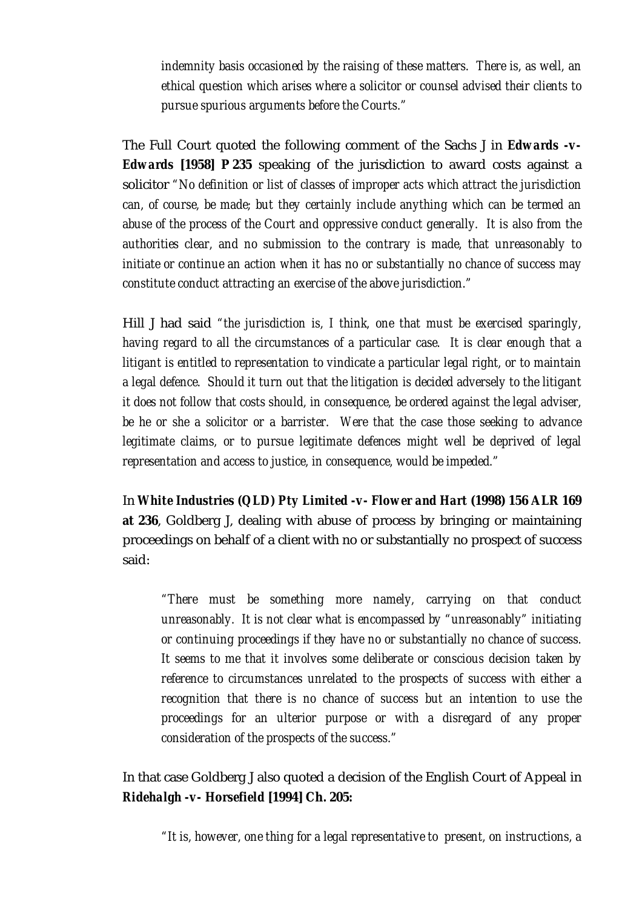*indemnity basis occasioned by the raising of these matters. There is, as well, an ethical question which arises where a solicitor or counsel advised their clients to pursue spurious arguments before the Courts."*

The Full Court quoted the following comment of the Sachs J in *Edwards -v-Edwards* **[1958] P 235** speaking of the jurisdiction to award costs against a solicitor *"No definition or list of classes of improper acts which attract the jurisdiction can, of course, be made; but they certainly include anything which can be termed an abuse of the process of the Court and oppressive conduct generally. It is also from the authorities clear, and no submission to the contrary is made, that unreasonably to initiate or continue an action when it has no or substantially no chance of success may constitute conduct attracting an exercise of the above jurisdiction."*

Hill J had said *"the jurisdiction is, I think, one that must be exercised sparingly, having regard to all the circumstances of a particular case. It is clear enough that a litigant is entitled to representation to vindicate a particular legal right, or to maintain a legal defence. Should it turn out that the litigation is decided adversely to the litigant it does not follow that costs should, in consequence, be ordered against the legal adviser, be he or she a solicitor or a barrister. Were that the case those seeking to advance legitimate claims, or to pursue legitimate defences might well be deprived of legal representation and access to justice, in consequence, would be impeded."*

In *White Industries (QLD) Pty Limited -v- Flower and Hart* **(1998) 156 ALR 169 at 236**, Goldberg J, dealing with abuse of process by bringing or maintaining proceedings on behalf of a client with no or substantially no prospect of success said:

*"There must be something more namely, carrying on that conduct unreasonably. It is not clear what is encompassed by "unreasonably" initiating or continuing proceedings if they have no or substantially no chance of success. It seems to me that it involves some deliberate or conscious decision taken by reference to circumstances unrelated to the prospects of success with either a recognition that there is no chance of success but an intention to use the proceedings for an ulterior purpose or with a disregard of any proper consideration of the prospects of the success."*

In that case Goldberg J also quoted a decision of the English Court of Appeal in *Ridehalgh -v- Horsefield* **[1994] Ch. 205:**

*"It is, however, one thing for a legal representative to present, on instructions, a*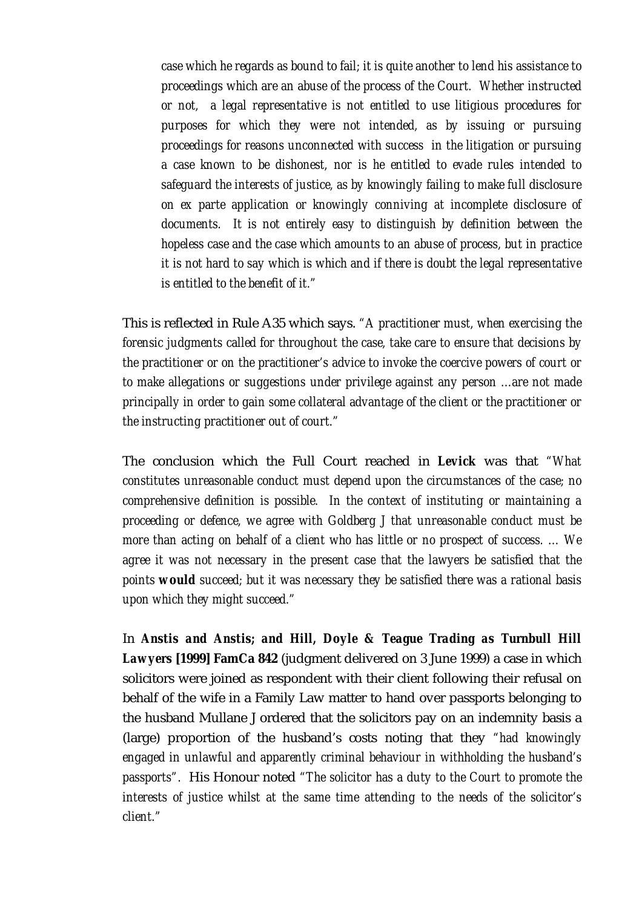*case which he regards as bound to fail; it is quite another to lend his assistance to proceedings which are an abuse of the process of the Court. Whether instructed or not, a legal representative is not entitled to use litigious procedures for purposes for which they were not intended, as by issuing or pursuing proceedings for reasons unconnected with success in the litigation or pursuing a case known to be dishonest, nor is he entitled to evade rules intended to safeguard the interests of justice, as by knowingly failing to make full disclosure on ex parte application or knowingly conniving at incomplete disclosure of documents. It is not entirely easy to distinguish by definition between the hopeless case and the case which amounts to an abuse of process, but in practice it is not hard to say which is which and if there is doubt the legal representative is entitled to the benefit of it."*

This is reflected in Rule A35 which says. *"A practitioner must, when exercising the forensic judgments called for throughout the case, take care to ensure that decisions by the practitioner or on the practitioner's advice to invoke the coercive powers of court or to make allegations or suggestions under privilege against any person … are not made principally in order to gain some collateral advantage of the client or the practitioner or the instructing practitioner out of court."*

The conclusion which the Full Court reached in *Levick* was that *"What constitutes unreasonable conduct must depend upon the circumstances of the case; no comprehensive definition is possible. In the context of instituting or maintaining a proceeding or defence, we agree with Goldberg J that unreasonable conduct must be more than acting on behalf of a client who has little or no prospect of success. … We agree it was not necessary in the present case that the lawyers be satisfied that the points would succeed; but it was necessary they be satisfied there was a rational basis upon which they might succeed."*

In *Anstis and Anstis; and Hill, Doyle & Teague Trading as Turnbull Hill Lawyers* **[1999] FamCa 842** (judgment delivered on 3 June 1999) a case in which solicitors were joined as respondent with their client following their refusal on behalf of the wife in a Family Law matter to hand over passports belonging to the husband Mullane J ordered that the solicitors pay on an indemnity basis a (large) proportion of the husband's costs noting that they *"had knowingly engaged in unlawful and apparently criminal behaviour in withholding the husband's passports".* His Honour noted *"The solicitor has a duty to the Court to promote the interests of justice whilst at the same time attending to the needs of the solicitor's client."*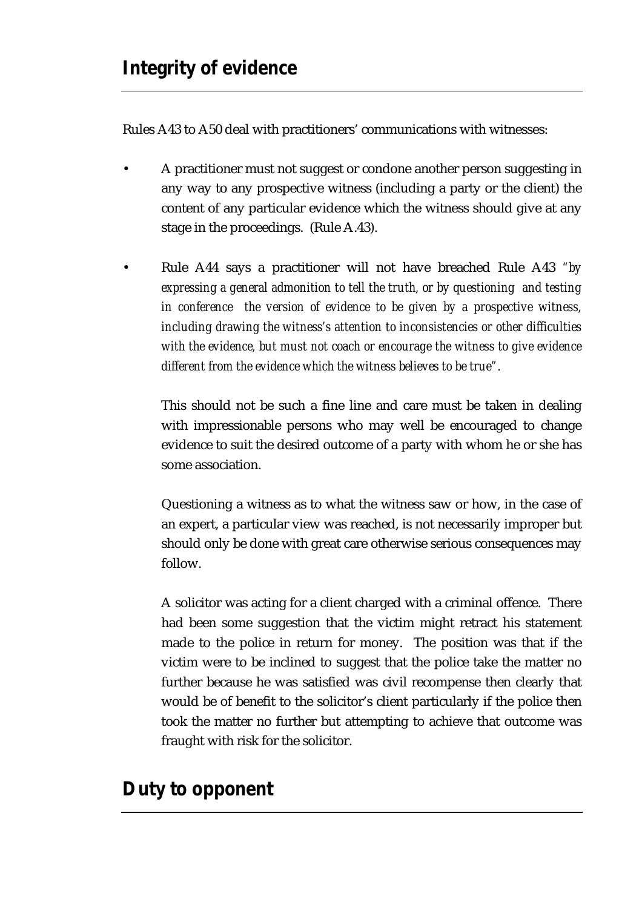Rules A43 to A50 deal with practitioners' communications with witnesses:

- A practitioner must not suggest or condone another person suggesting in any way to any prospective witness (including a party or the client) the content of any particular evidence which the witness should give at any stage in the proceedings. (Rule A.43).
- Rule A44 says a practitioner will not have breached Rule A43 *"by expressing a general admonition to tell the truth, or by questioning and testing in conference the version of evidence to be given by a prospective witness, including drawing the witness's attention to inconsistencies or other difficulties with the evidence, but must not coach or encourage the witness to give evidence different from the evidence which the witness believes to be true".*

This should not be such a fine line and care must be taken in dealing with impressionable persons who may well be encouraged to change evidence to suit the desired outcome of a party with whom he or she has some association.

Questioning a witness as to what the witness saw or how, in the case of an expert, a particular view was reached, is not necessarily improper but should only be done with great care otherwise serious consequences may follow.

A solicitor was acting for a client charged with a criminal offence. There had been some suggestion that the victim might retract his statement made to the police in return for money. The position was that if the victim were to be inclined to suggest that the police take the matter no further because he was satisfied was civil recompense then clearly that would be of benefit to the solicitor's client particularly if the police then took the matter no further but attempting to achieve that outcome was fraught with risk for the solicitor.

### **Duty to opponent**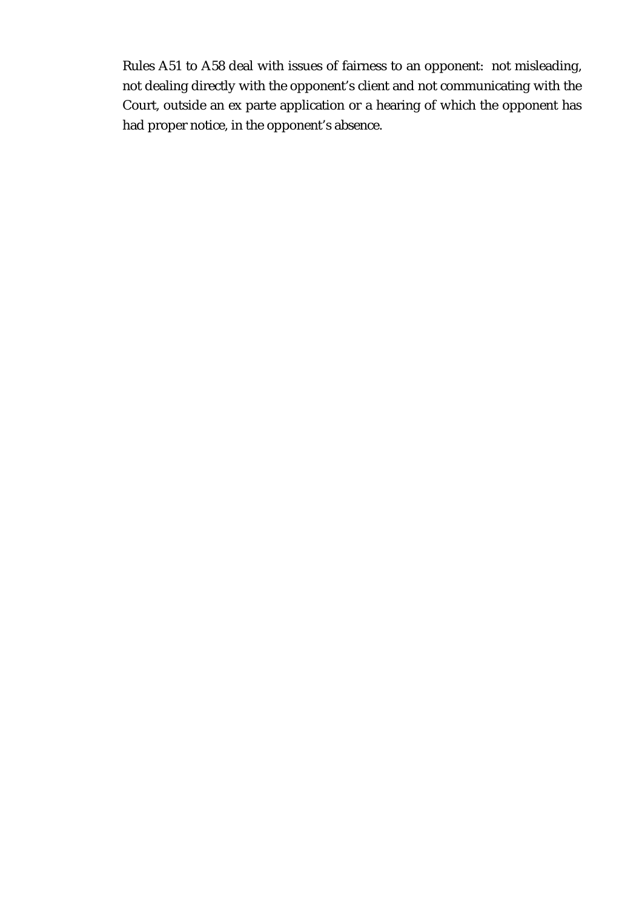Rules A51 to A58 deal with issues of fairness to an opponent: not misleading, not dealing directly with the opponent's client and not communicating with the Court, outside an ex parte application or a hearing of which the opponent has had proper notice, in the opponent's absence.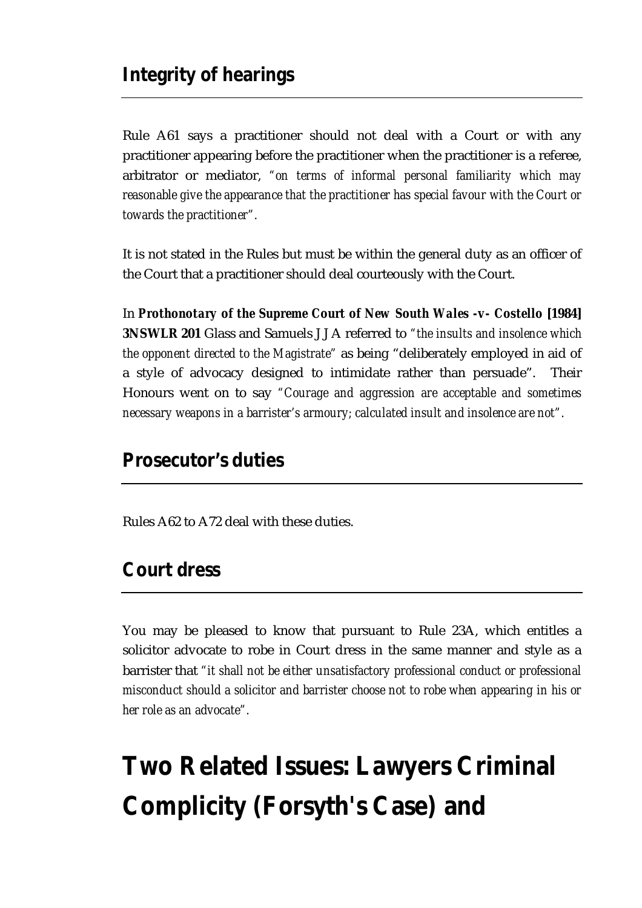### **Integrity of hearings**

Rule A61 says a practitioner should not deal with a Court or with any practitioner appearing before the practitioner when the practitioner is a referee, arbitrator or mediator, *"on terms of informal personal familiarity which may reasonable give the appearance that the practitioner has special favour with the Court or towards the practitioner".*

It is not stated in the Rules but must be within the general duty as an officer of the Court that a practitioner should deal courteously with the Court.

In *Prothonotary of the Supreme Court of New South Wales -v- Costello* **[1984] 3NSWLR 201** Glass and Samuels J J A referred to *"the insults and insolence which the opponent directed to the Magistrate"* as being "deliberately employed in aid of a style of advocacy designed to intimidate rather than persuade". Their Honours went on to say *"Courage and aggression are acceptable and sometimes necessary weapons in a barrister's armoury; calculated insult and insolence are not".*

### **Prosecutor's duties**

Rules A62 to A72 deal with these duties.

### **Court dress**

You may be pleased to know that pursuant to Rule 23A, which entitles a solicitor advocate to robe in Court dress in the same manner and style as a barrister that *"it shall not be either unsatisfactory professional conduct or professional misconduct should a solicitor and barrister choose not to robe when appearing in his or her role as an advocate".*

# **Two Related Issues: Lawyers Criminal Complicity (Forsyth's Case) and**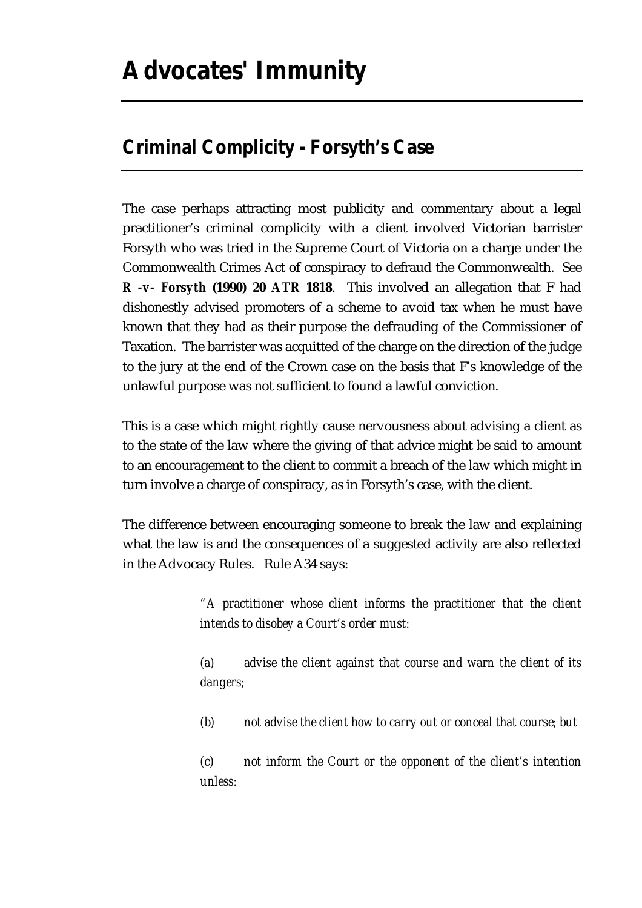### **Criminal Complicity - Forsyth's Case**

The case perhaps attracting most publicity and commentary about a legal practitioner's criminal complicity with a client involved Victorian barrister Forsyth who was tried in the Supreme Court of Victoria on a charge under the Commonwealth Crimes Act of conspiracy to defraud the Commonwealth. See *R -v- Forsyth* **(1990) 20 ATR 1818**. This involved an allegation that F had dishonestly advised promoters of a scheme to avoid tax when he must have known that they had as their purpose the defrauding of the Commissioner of Taxation. The barrister was acquitted of the charge on the direction of the judge to the jury at the end of the Crown case on the basis that F's knowledge of the unlawful purpose was not sufficient to found a lawful conviction.

This is a case which might rightly cause nervousness about advising a client as to the state of the law where the giving of that advice might be said to amount to an encouragement to the client to commit a breach of the law which might in turn involve a charge of conspiracy, as in Forsyth's case, with the client.

The difference between encouraging someone to break the law and explaining what the law is and the consequences of a suggested activity are also reflected in the Advocacy Rules. Rule A34 says:

> *"A practitioner whose client informs the practitioner that the client intends to disobey a Court's order must:*

> *(a) advise the client against that course and warn the client of its dangers;*

*(b) not advise the client how to carry out or conceal that course; but*

*(c) not inform the Court or the opponent of the client's intention unless:*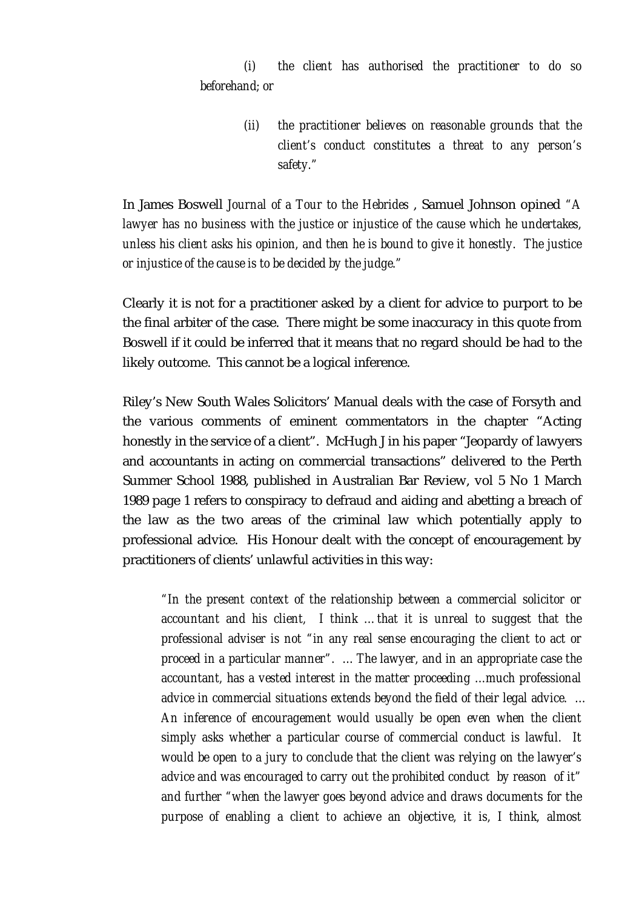*(i) the client has authorised the practitioner to do so beforehand; or*

> *(ii) the practitioner believes on reasonable grounds that the client's conduct constitutes a threat to any person's safety."*

In James Boswell *Journal of a Tour to the Hebrides* , Samuel Johnson opined *"A lawyer has no business with the justice or injustice of the cause which he undertakes, unless his client asks his opinion, and then he is bound to give it honestly. The justice or injustice of the cause is to be decided by the judge."*

Clearly it is not for a practitioner asked by a client for advice to purport to be the final arbiter of the case. There might be some inaccuracy in this quote from Boswell if it could be inferred that it means that no regard should be had to the likely outcome. This cannot be a logical inference.

Riley's New South Wales Solicitors' Manual deals with the case of Forsyth and the various comments of eminent commentators in the chapter "Acting honestly in the service of a client". McHugh J in his paper "Jeopardy of lawyers and accountants in acting on commercial transactions" delivered to the Perth Summer School 1988, published in Australian Bar Review, vol 5 No 1 March 1989 page 1 refers to conspiracy to defraud and aiding and abetting a breach of the law as the two areas of the criminal law which potentially apply to professional advice. His Honour dealt with the concept of encouragement by practitioners of clients' unlawful activities in this way:

*"In the present context of the relationship between a commercial solicitor or accountant and his client, I think … that it is unreal to suggest that the professional adviser is not "in any real sense encouraging the client to act or proceed in a particular manner". … The lawyer, and in an appropriate case the accountant, has a vested interest in the matter proceeding … much professional advice in commercial situations extends beyond the field of their legal advice. … An inference of encouragement would usually be open even when the client simply asks whether a particular course of commercial conduct is lawful. It would be open to a jury to conclude that the client was relying on the lawyer's advice and was encouraged to carry out the prohibited conduct by reason of it" and further "when the lawyer goes beyond advice and draws documents for the purpose of enabling a client to achieve an objective, it is, I think, almost*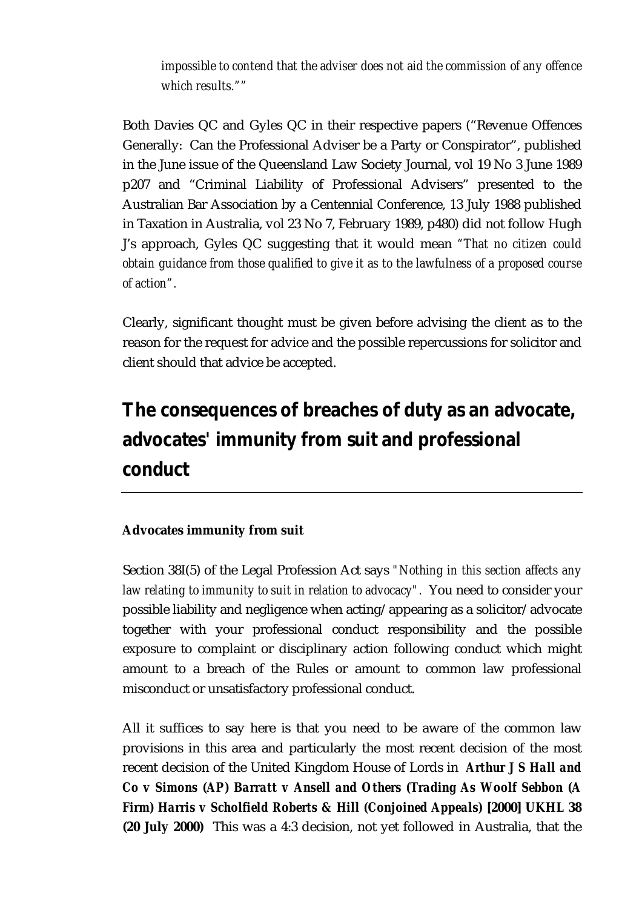*impossible to contend that the adviser does not aid the commission of any offence which results.""*

Both Davies QC and Gyles QC in their respective papers ("Revenue Offences Generally: Can the Professional Adviser be a Party or Conspirator", published in the June issue of the Queensland Law Society Journal, vol 19 No 3 June 1989 p207 and "Criminal Liability of Professional Advisers" presented to the Australian Bar Association by a Centennial Conference, 13 July 1988 published in Taxation in Australia, vol 23 No 7, February 1989, p480) did not follow Hugh J's approach, Gyles QC suggesting that it would mean *"That no citizen could obtain guidance from those qualified to give it as to the lawfulness of a proposed course of action".*

Clearly, significant thought must be given before advising the client as to the reason for the request for advice and the possible repercussions for solicitor and client should that advice be accepted.

## **The consequences of breaches of duty as an advocate, advocates' immunity from suit and professional conduct**

#### **Advocates immunity from suit**

Section 38I(5) of the Legal Profession Act says *"Nothing in this section affects any law relating to immunity to suit in relation to advocacy".* You need to consider your possible liability and negligence when acting/appearing as a solicitor/advocate together with your professional conduct responsibility and the possible exposure to complaint or disciplinary action following conduct which might amount to a breach of the Rules or amount to common law professional misconduct or unsatisfactory professional conduct.

All it suffices to say here is that you need to be aware of the common law provisions in this area and particularly the most recent decision of the most recent decision of the United Kingdom House of Lords in *Arthur J S Hall and Co v Simons (AP) Barratt v Ansell and Others (Trading As Woolf Sebbon (A Firm) Harris v Scholfield Roberts & Hill (Conjoined Appeals)* **[2000] UKHL 38 (20 July 2000)** This was a 4:3 decision, not yet followed in Australia, that the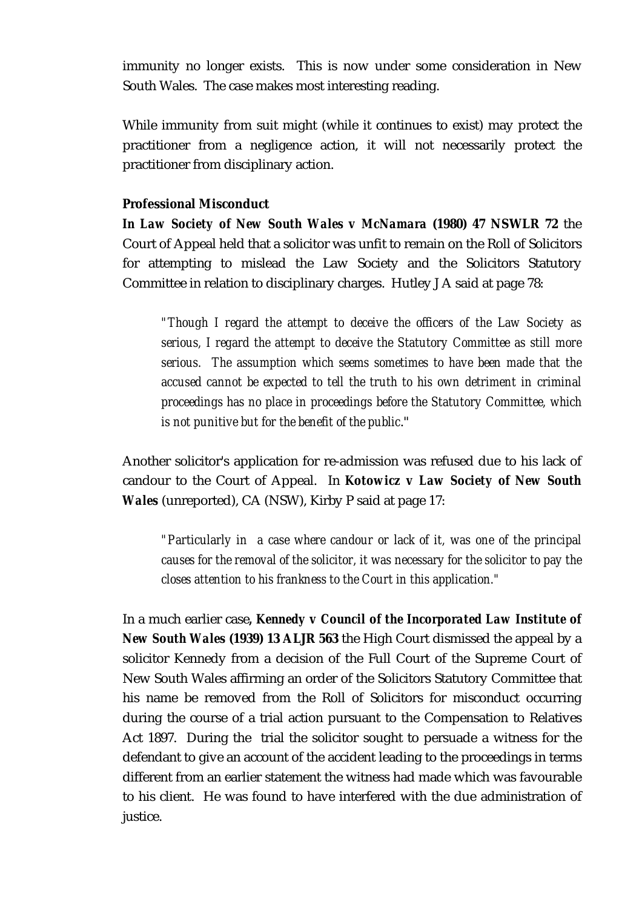immunity no longer exists. This is now under some consideration in New South Wales. The case makes most interesting reading.

While immunity from suit might (while it continues to exist) may protect the practitioner from a negligence action, it will not necessarily protect the practitioner from disciplinary action.

#### **Professional Misconduct**

*In Law Society of New South Wales v McNamara* **(1980) 47 NSWLR 72** the Court of Appeal held that a solicitor was unfit to remain on the Roll of Solicitors for attempting to mislead the Law Society and the Solicitors Statutory Committee in relation to disciplinary charges. Hutley J A said at page 78:

*"Though I regard the attempt to deceive the officers of the Law Society as serious, I regard the attempt to deceive the Statutory Committee as still more serious. The assumption which seems sometimes to have been made that the accused cannot be expected to tell the truth to his own detriment in criminal proceedings has no place in proceedings before the Statutory Committee, which is not punitive but for the benefit of the public*."

Another solicitor's application for re-admission was refused due to his lack of candour to the Court of Appeal. In *Kotowicz v Law Society of New South Wales* (unreported), CA (NSW), Kirby P said at page 17:

*"Particularly in a case where candour or lack of it, was one of the principal causes for the removal of the solicitor, it was necessary for the solicitor to pay the closes attention to his frankness to the Court in this application."*

In a much earlier case*, Kennedy v Council of the Incorporated Law Institute of New South Wales* **(1939) 13 ALJR 563** the High Court dismissed the appeal by a solicitor Kennedy from a decision of the Full Court of the Supreme Court of New South Wales affirming an order of the Solicitors Statutory Committee that his name be removed from the Roll of Solicitors for misconduct occurring during the course of a trial action pursuant to the Compensation to Relatives Act 1897. During the trial the solicitor sought to persuade a witness for the defendant to give an account of the accident leading to the proceedings in terms different from an earlier statement the witness had made which was favourable to his client. He was found to have interfered with the due administration of justice.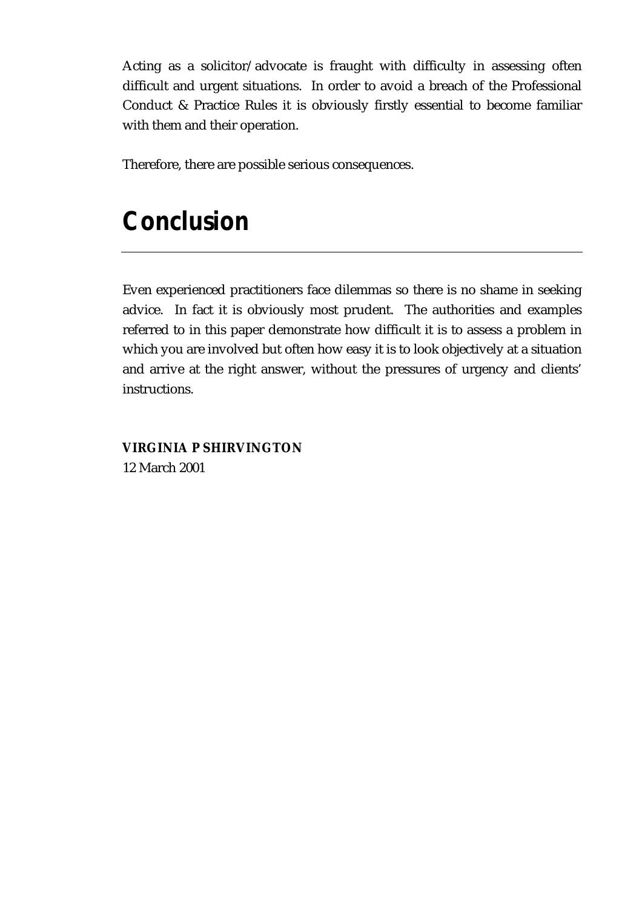Acting as a solicitor/advocate is fraught with difficulty in assessing often difficult and urgent situations. In order to avoid a breach of the Professional Conduct & Practice Rules it is obviously firstly essential to become familiar with them and their operation.

Therefore, there are possible serious consequences.

# **Conclusion**

Even experienced practitioners face dilemmas so there is no shame in seeking advice. In fact it is obviously most prudent. The authorities and examples referred to in this paper demonstrate how difficult it is to assess a problem in which you are involved but often how easy it is to look objectively at a situation and arrive at the right answer, without the pressures of urgency and clients' instructions.

#### **VIRGINIA P SHIRVINGTON**

12 March 2001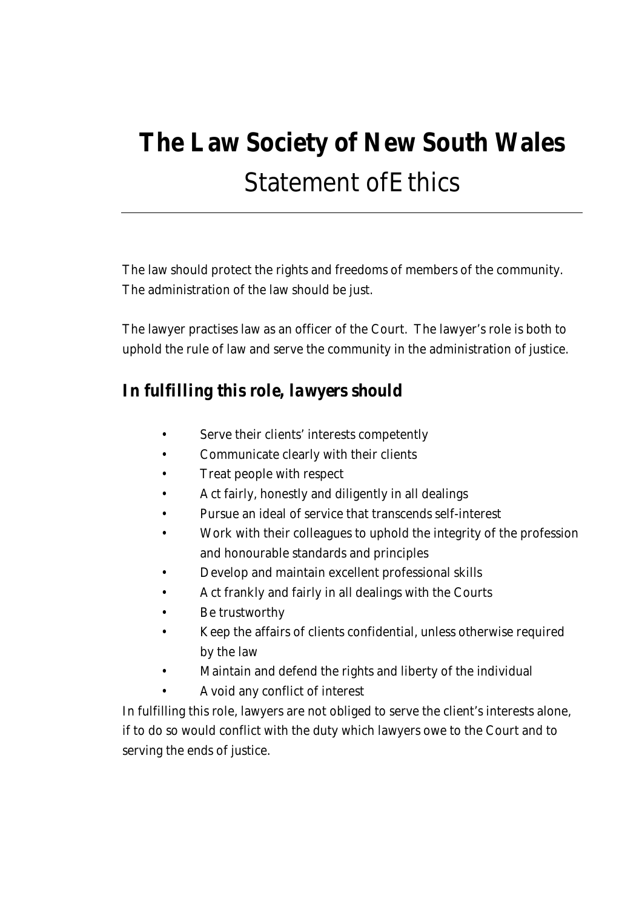# **The Law Society of New South Wales** Statement ofEthics

The law should protect the rights and freedoms of members of the community. The administration of the law should be just.

The lawyer practises law as an officer of the Court. The lawyer's role is both to uphold the rule of law and serve the community in the administration of justice.

### *In fulfilling this role, lawyers should*

- Serve their clients' interests competently
- Communicate clearly with their clients
- Treat people with respect
- Act fairly, honestly and diligently in all dealings
- Pursue an ideal of service that transcends self-interest
- Work with their colleagues to uphold the integrity of the profession and honourable standards and principles
- Develop and maintain excellent professional skills
- Act frankly and fairly in all dealings with the Courts
- Be trustworthy
- Keep the affairs of clients confidential, unless otherwise required by the law
- Maintain and defend the rights and liberty of the individual
- Avoid any conflict of interest

In fulfilling this role, lawyers are not obliged to serve the client's interests alone, if to do so would conflict with the duty which lawyers owe to the Court and to serving the ends of justice.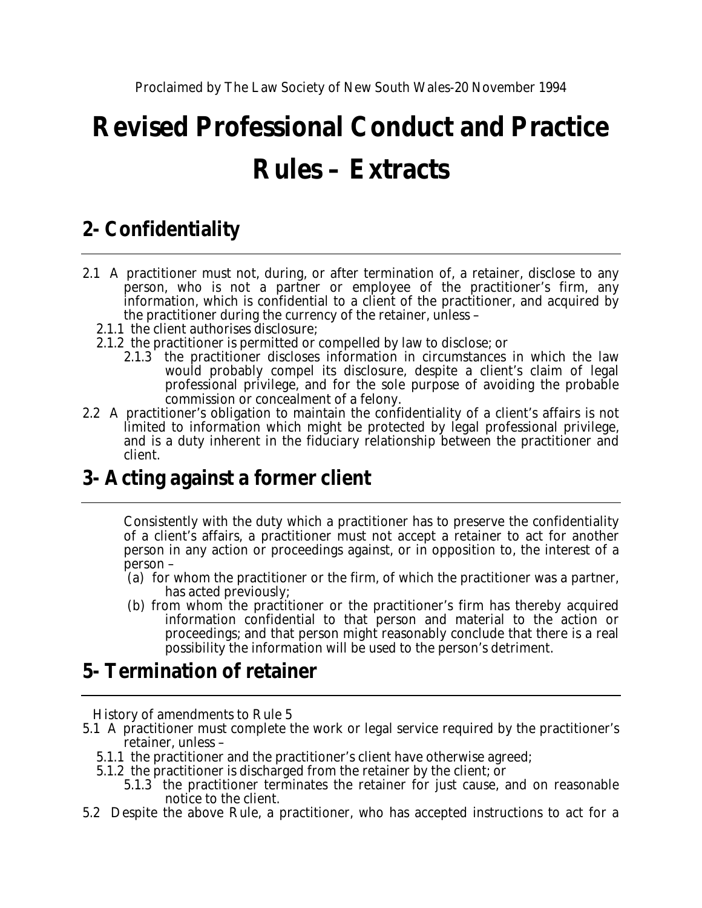# **Revised Professional Conduct and Practice Rules – Extracts**

## **2- Confidentiality**

- 2.1 A practitioner must not, during, or after termination of, a retainer, disclose to any person, who is not a partner or employee of the practitioner's firm, any information, which is confidential to a client of the practitioner, and acquired by the practitioner during the currency of the retainer, unless –
	- 2.1.1 the client authorises disclosure;
	- 2.1.2 the practitioner is permitted or compelled by law to disclose; or
		- 2.1.3 the practitioner discloses information in circumstances in which the law would probably compel its disclosure, despite a client's claim of legal professional privilege, and for the sole purpose of avoiding the probable commission or concealment of a felony.
- 2.2 A practitioner's obligation to maintain the confidentiality of a client's affairs is not limited to information which might be protected by legal professional privilege, and is a duty inherent in the fiduciary relationship between the practitioner and client.

### **3- Acting against a former client**

Consistently with the duty which a practitioner has to preserve the confidentiality of a client's affairs, a practitioner must not accept a retainer to act for another person in any action or proceedings against, or in opposition to, the interest of a person –

- (a) for whom the practitioner or the firm, of which the practitioner was a partner, has acted previously;
- (b) from whom the practitioner or the practitioner's firm has thereby acquired information confidential to that person and material to the action or proceedings; and that person might reasonably conclude that there is a real possibility the information will be used to the person's detriment.

### **5- Termination of retainer**

History of amendments to Rule 5

- 5.1 A practitioner must complete the work or legal service required by the practitioner's retainer, unless –
	- 5.1.1 the practitioner and the practitioner's client have otherwise agreed;
	- 5.1.2 the practitioner is discharged from the retainer by the client; or
		- 5.1.3 the practitioner terminates the retainer for just cause, and on reasonable notice to the client.
- 5.2 Despite the above Rule, a practitioner, who has accepted instructions to act for a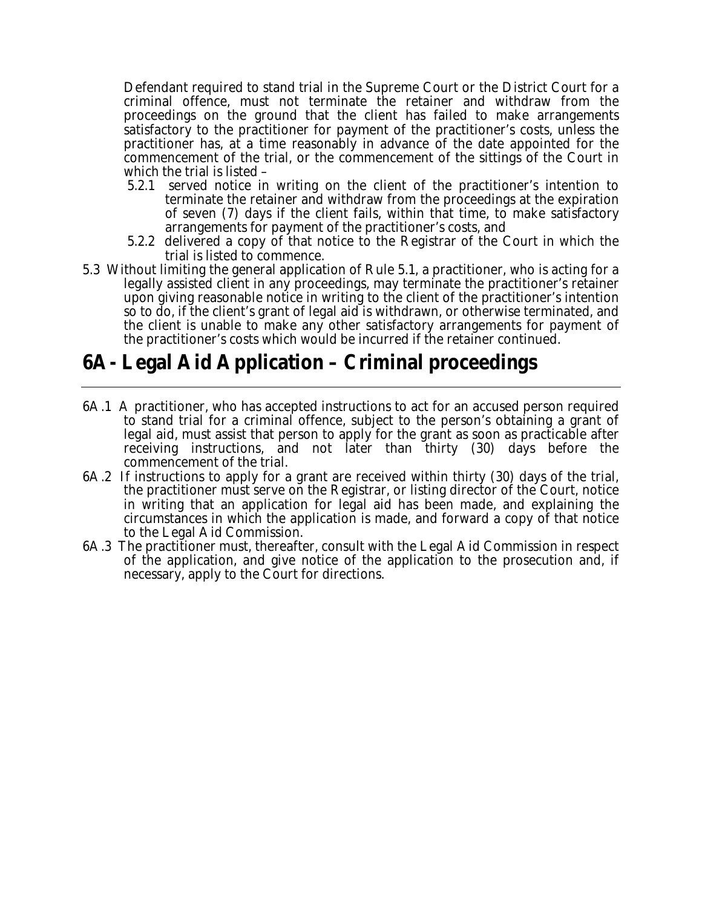Defendant required to stand trial in the Supreme Court or the District Court for a criminal offence, must not terminate the retainer and withdraw from the proceedings on the ground that the client has failed to make arrangements satisfactory to the practitioner for payment of the practitioner's costs, unless the practitioner has, at a time reasonably in advance of the date appointed for the commencement of the trial, or the commencement of the sittings of the Court in which the trial is listed –

- 5.2.1 served notice in writing on the client of the practitioner's intention to terminate the retainer and withdraw from the proceedings at the expiration of seven (7) days if the client fails, within that time, to make satisfactory arrangements for payment of the practitioner's costs, and
- 5.2.2 delivered a copy of that notice to the Registrar of the Court in which the trial is listed to commence.
- 5.3 Without limiting the general application of Rule 5.1, a practitioner, who is acting for a legally assisted client in any proceedings, may terminate the practitioner's retainer upon giving reasonable notice in writing to the client of the practitioner's intention so to do, if the client's grant of legal aid is withdrawn, or otherwise terminated, and the client is unable to make any other satisfactory arrangements for payment of the practitioner's costs which would be incurred if the retainer continued.

### **6A- Legal Aid Application – Criminal proceedings**

- 6A.1 A practitioner, who has accepted instructions to act for an accused person required to stand trial for a criminal offence, subject to the person's obtaining a grant of legal aid, must assist that person to apply for the grant as soon as practicable after receiving instructions, and not later than thirty (30) days before the commencement of the trial.
- 6A.2 If instructions to apply for a grant are received within thirty (30) days of the trial, the practitioner must serve on the Registrar, or listing director of the Court, notice in writing that an application for legal aid has been made, and explaining the circumstances in which the application is made, and forward a copy of that notice to the Legal Aid Commission.
- 6A.3 The practitioner must, thereafter, consult with the Legal Aid Commission in respect of the application, and give notice of the application to the prosecution and, if necessary, apply to the Court for directions.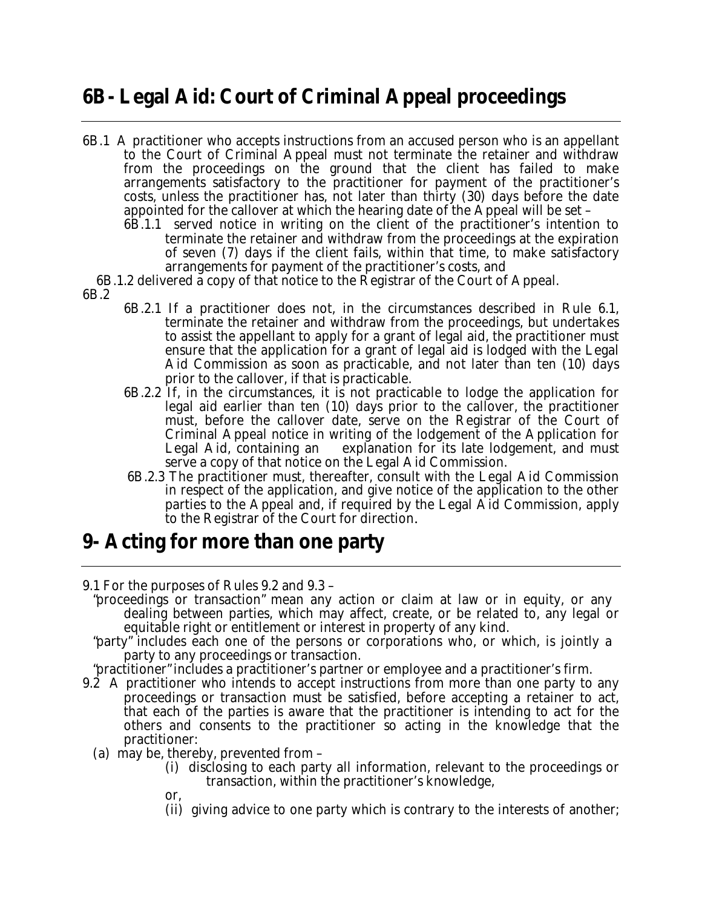### **6B- Legal Aid: Court of Criminal Appeal proceedings**

- 6B.1 A practitioner who accepts instructions from an accused person who is an appellant to the Court of Criminal Appeal must not terminate the retainer and withdraw from the proceedings on the ground that the client has failed to make arrangements satisfactory to the practitioner for payment of the practitioner's costs, unless the practitioner has, not later than thirty (30) days before the date appointed for the callover at which the hearing date of the Appeal will be set –
	- 6B.1.1 served notice in writing on the client of the practitioner's intention to terminate the retainer and withdraw from the proceedings at the expiration of seven (7) days if the client fails, within that time, to make satisfactory arrangements for payment of the practitioner's costs, and
- 6B.1.2 delivered a copy of that notice to the Registrar of the Court of Appeal.
- 6B.2
- 6B.2.1 If a practitioner does not, in the circumstances described in Rule 6.1, terminate the retainer and withdraw from the proceedings, but undertakes to assist the appellant to apply for a grant of legal aid, the practitioner must ensure that the application for a grant of legal aid is lodged with the Legal Aid Commission as soon as practicable, and not later than ten (10) days prior to the callover, if that is practicable.
- 6B.2.2 If, in the circumstances, it is not practicable to lodge the application for legal aid earlier than ten (10) days prior to the callover, the practitioner must, before the callover date, serve on the Registrar of the Court of Criminal Appeal notice in writing of the lodgement of the Application for explanation for its late lodgement, and must serve a copy of that notice on the Legal Aid Commission.
- 6B.2.3 The practitioner must, thereafter, consult with the Legal Aid Commission in respect of the application, and give notice of the application to the other parties to the Appeal and, if required by the Legal Aid Commission, apply to the Registrar of the Court for direction.

### **9- Acting for more than one party**

- 9.1 For the purposes of Rules 9.2 and 9.3
	- "proceedings or transaction" mean any action or claim at law or in equity, or any dealing between parties, which may affect, create, or be related to, any legal or equitable right or entitlement or interest in property of any kind.
	- "party" includes each one of the persons or corporations who, or which, is jointly a party to any proceedings or transaction.
- "practitioner" includes a practitioner's partner or employee and a practitioner's firm.
- 9.2 A practitioner who intends to accept instructions from more than one party to any proceedings or transaction must be satisfied, before accepting a retainer to act, that each of the parties is aware that the practitioner is intending to act for the others and consents to the practitioner so acting in the knowledge that the practitioner:
	- (a) may be, thereby, prevented from
		- (i) disclosing to each party all information, relevant to the proceedings or transaction, within the practitioner's knowledge,
		- or,
		- (ii) giving advice to one party which is contrary to the interests of another;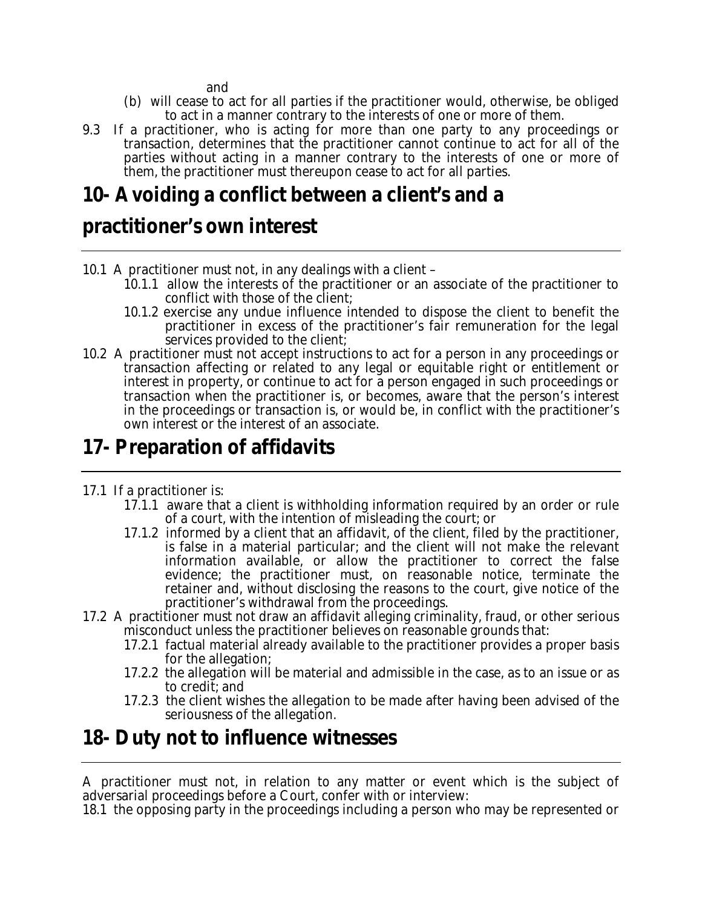and

- (b) will cease to act for all parties if the practitioner would, otherwise, be obliged to act in a manner contrary to the interests of one or more of them.
- 9.3 If a practitioner, who is acting for more than one party to any proceedings or transaction, determines that the practitioner cannot continue to act for all of the parties without acting in a manner contrary to the interests of one or more of them, the practitioner must thereupon cease to act for all parties.

### **10- Avoiding a conflict between a client's and a**

### **practitioner's own interest**

- 10.1 A practitioner must not, in any dealings with a client
	- 10.1.1 allow the interests of the practitioner or an associate of the practitioner to conflict with those of the client;
	- 10.1.2 exercise any undue influence intended to dispose the client to benefit the practitioner in excess of the practitioner's fair remuneration for the legal services provided to the client;
- 10.2 A practitioner must not accept instructions to act for a person in any proceedings or transaction affecting or related to any legal or equitable right or entitlement or interest in property, or continue to act for a person engaged in such proceedings or transaction when the practitioner is, or becomes, aware that the person's interest in the proceedings or transaction is, or would be, in conflict with the practitioner's own interest or the interest of an associate.

### **17- Preparation of affidavits**

- 17.1 If a practitioner is:
	- 17.1.1 aware that a client is withholding information required by an order or rule of a court, with the intention of misleading the court; or
	- 17.1.2 informed by a client that an affidavit, of the client, filed by the practitioner, is false in a material particular; and the client will not make the relevant information available, or allow the practitioner to correct the false evidence; the practitioner must, on reasonable notice, terminate the retainer and, without disclosing the reasons to the court, give notice of the practitioner's withdrawal from the proceedings.
- 17.2 A practitioner must not draw an affidavit alleging criminality, fraud, or other serious misconduct unless the practitioner believes on reasonable grounds that:
	- 17.2.1 factual material already available to the practitioner provides a proper basis for the allegation;
	- 17.2.2 the allegation will be material and admissible in the case, as to an issue or as to credit; and
	- 17.2.3 the client wishes the allegation to be made after having been advised of the seriousness of the allegation.

### **18- Duty not to influence witnesses**

A practitioner must not, in relation to any matter or event which is the subject of adversarial proceedings before a Court, confer with or interview:

18.1 the opposing party in the proceedings including a person who may be represented or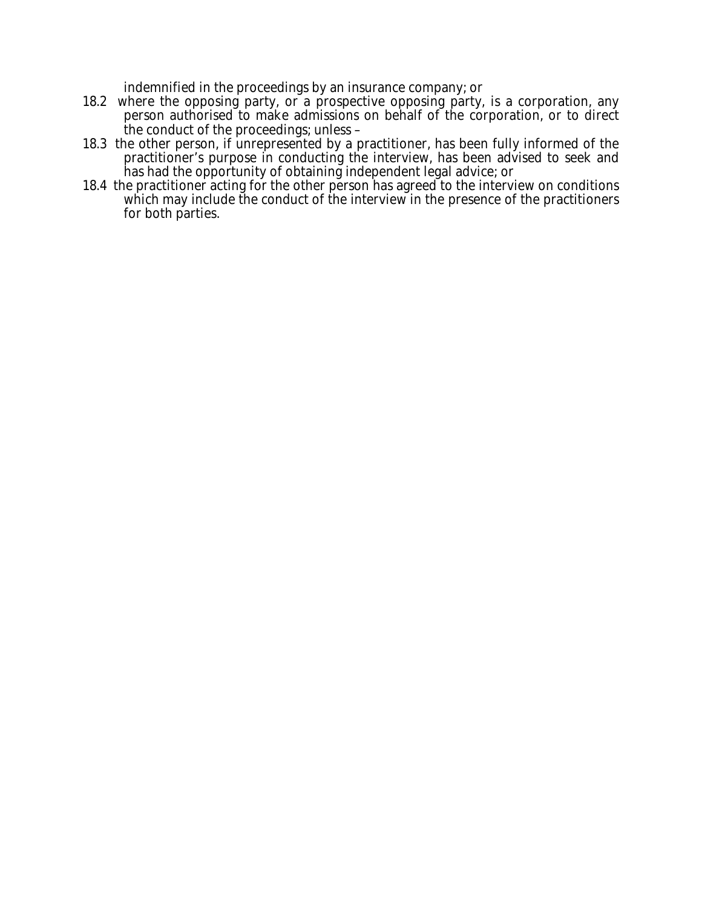indemnified in the proceedings by an insurance company; or

- 18.2 where the opposing party, or a prospective opposing party, is a corporation, any person authorised to make admissions on behalf of the corporation, or to direct the conduct of the proceedings; unless –
- 18.3 the other person, if unrepresented by a practitioner, has been fully informed of the practitioner's purpose in conducting the interview, has been advised to seek and has had the opportunity of obtaining independent legal advice; or
- 18.4 the practitioner acting for the other person has agreed to the interview on conditions which may include the conduct of the interview in the presence of the practitioners for both parties.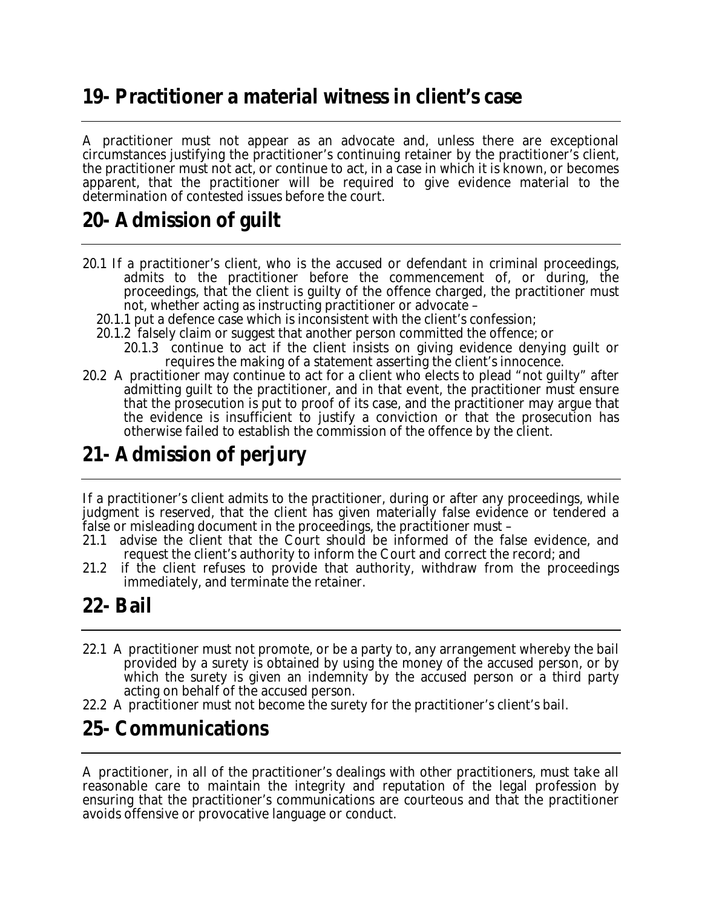### **19- Practitioner a material witness in client's case**

A practitioner must not appear as an advocate and, unless there are exceptional circumstances justifying the practitioner's continuing retainer by the practitioner's client, the practitioner must not act, or continue to act, in a case in which it is known, or becomes apparent, that the practitioner will be required to give evidence material to the determination of contested issues before the court.

### **20- Admission of guilt**

- 20.1 If a practitioner's client, who is the accused or defendant in criminal proceedings, admits to the practitioner before the commencement of, or during, the proceedings, that the client is guilty of the offence charged, the practitioner must not, whether acting as instructing practitioner or advocate –
	- 20.1.1 put a defence case which is inconsistent with the client's confession;
	- 20.1.2 falsely claim or suggest that another person committed the offence; or 20.1.3 continue to act if the client insists on giving evidence denying guilt or
		- requires the making of a statement asserting the client's innocence.
- 20.2 A practitioner may continue to act for a client who elects to plead " not guilty" after admitting guilt to the practitioner, and in that event, the practitioner must ensure that the prosecution is put to proof of its case, and the practitioner may argue that the evidence is insufficient to justify a conviction or that the prosecution has otherwise failed to establish the commission of the offence by the client.

## **21- Admission of perjury**

If a practitioner's client admits to the practitioner, during or after any proceedings, while judgment is reserved, that the client has given materially false evidence or tendered a false or misleading document in the proceedings, the practitioner must –

- 21.1 advise the client that the Court should be informed of the false evidence, and request the client's authority to inform the Court and correct the record; and
- 21.2 if the client refuses to provide that authority, withdraw from the proceedings immediately, and terminate the retainer.

### **22- Bail**

- 22.1 A practitioner must not promote, or be a party to, any arrangement whereby the bail provided by a surety is obtained by using the money of the accused person, or by which the surety is given an indemnity by the accused person or a third party acting on behalf of the accused person.
- 22.2 A practitioner must not become the surety for the practitioner's client's bail.

### **25- Communications**

A practitioner, in all of the practitioner's dealings with other practitioners, must take all reasonable care to maintain the integrity and reputation of the legal profession by ensuring that the practitioner's communications are courteous and that the practitioner avoids offensive or provocative language or conduct.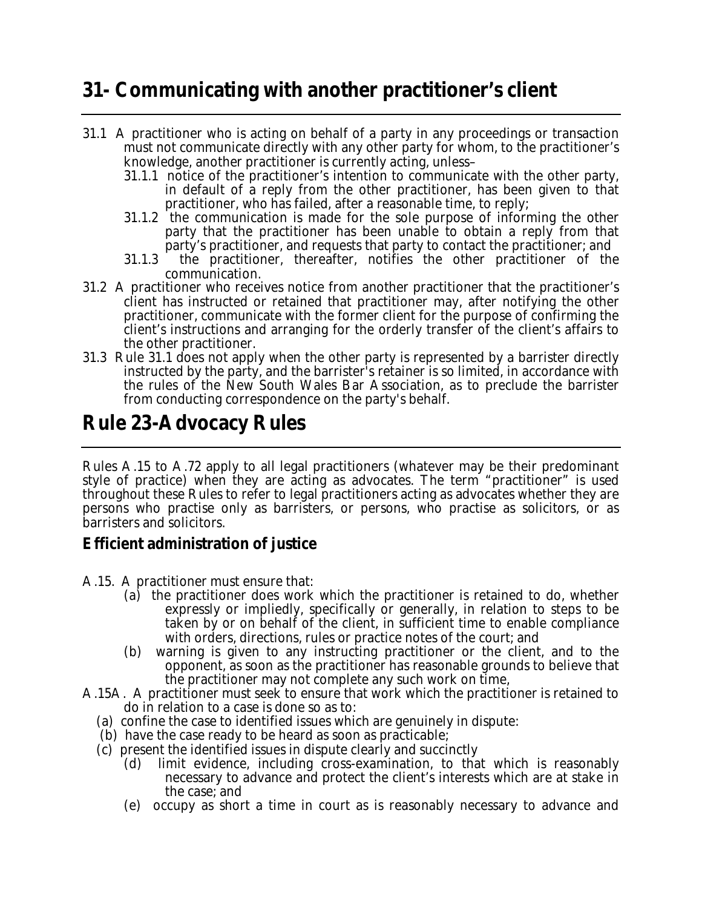### **31- Communicating with another practitioner's client**

- 31.1 A practitioner who is acting on behalf of a party in any proceedings or transaction must not communicate directly with any other party for whom, to the practitioner's knowledge, another practitioner is currently acting, unless–
	- 31.1.1 notice of the practitioner's intention to communicate with the other party, in default of a reply from the other practitioner, has been given to that practitioner, who has failed, after a reasonable time, to reply;
	- 31.1.2 the communication is made for the sole purpose of informing the other party that the practitioner has been unable to obtain a reply from that party's practitioner, and requests that party to contact the practitioner; and
	- 31.1.3 the practitioner, thereafter, notifies the other practitioner of the communication.
- 31.2 A practitioner who receives notice from another practitioner that the practitioner's client has instructed or retained that practitioner may, after notifying the other practitioner, communicate with the former client for the purpose of confirming the client's instructions and arranging for the orderly transfer of the client's affairs to the other practitioner.
- 31.3 Rule 31.1 does not apply when the other party is represented by a barrister directly instructed by the party, and the barrister's retainer is so limited, in accordance with the rules of the New South Wales Bar Association, as to preclude the barrister from conducting correspondence on the party's behalf.

## **Rule 23-Advocacy Rules**

Rules A.15 to A.72 apply to all legal practitioners (whatever may be their predominant style of practice) when they are acting as advocates. The term " practitioner" is used throughout these Rules to refer to legal practitioners acting as advocates whether they are persons who practise only as barristers, or persons, who practise as solicitors, or as barristers and solicitors.

### **Efficient administration of justice**

A.15. A practitioner must ensure that:

- (a) the practitioner does work which the practitioner is retained to do, whether expressly or impliedly, specifically or generally, in relation to steps to be taken by or on behalf of the client, in sufficient time to enable compliance with orders, directions, rules or practice notes of the court; and
- (b) warning is given to any instructing practitioner or the client, and to the opponent, as soon as the practitioner has reasonable grounds to believe that the practitioner may not complete any such work on time,
- A.15A. A practitioner must seek to ensure that work which the practitioner is retained to do in relation to a case is done so as to:
	- (a) confine the case to identified issues which are genuinely in dispute:
	- (b) have the case ready to be heard as soon as practicable;
	- (c) present the identified issues in dispute clearly and succinctly<br>(d) limit evidence, including cross-examination, to tha
		- limit evidence, including cross-examination, to that which is reasonably necessary to advance and protect the client's interests which are at stake in the case; and
		- (e) occupy as short a time in court as is reasonably necessary to advance and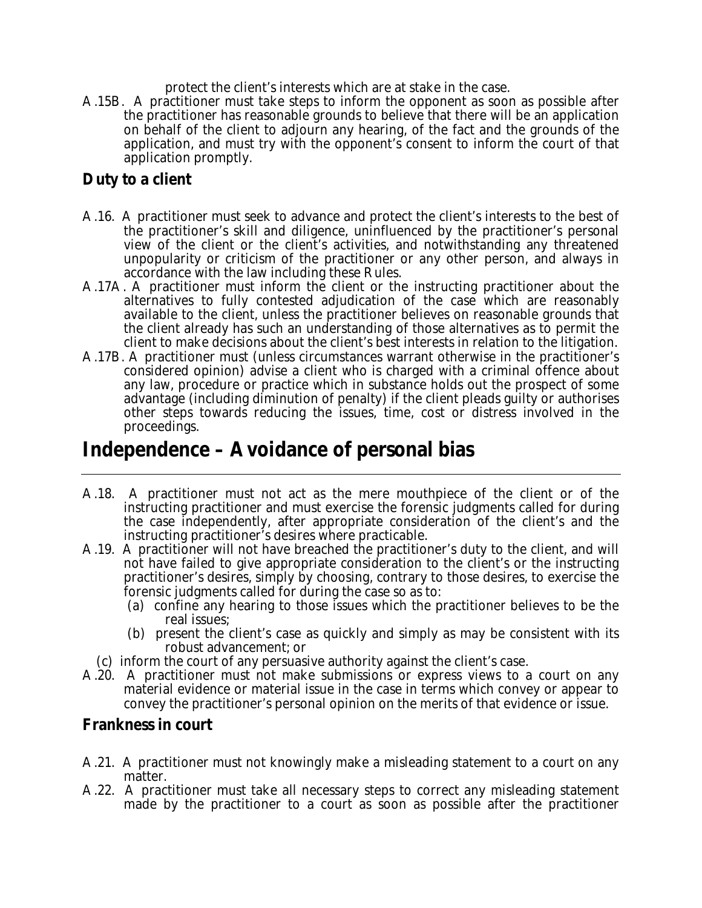protect the client's interests which are at stake in the case.

A.15B. A practitioner must take steps to inform the opponent as soon as possible after the practitioner has reasonable grounds to believe that there will be an application on behalf of the client to adjourn any hearing, of the fact and the grounds of the application, and must try with the opponent's consent to inform the court of that application promptly.

#### **Duty to a client**

- A.16. A practitioner must seek to advance and protect the client's interests to the best of the practitioner's skill and diligence, uninfluenced by the practitioner's personal view of the client or the client's activities, and notwithstanding any threatened unpopularity or criticism of the practitioner or any other person, and always in accordance with the law including these Rules.
- A.17A. A practitioner must inform the client or the instructing practitioner about the alternatives to fully contested adjudication of the case which are reasonably available to the client, unless the practitioner believes on reasonable grounds that the client already has such an understanding of those alternatives as to permit the client to make decisions about the client's best interests in relation to the litigation.
- A.17B. A practitioner must (unless circumstances warrant otherwise in the practitioner's considered opinion) advise a client who is charged with a criminal offence about any law, procedure or practice which in substance holds out the prospect of some advantage (including diminution of penalty) if the client pleads guilty or authorises other steps towards reducing the issues, time, cost or distress involved in the proceedings.

### **Independence – Avoidance of personal bias**

- A.18. A practitioner must not act as the mere mouthpiece of the client or of the instructing practitioner and must exercise the forensic judgments called for during the case independently, after appropriate consideration of the client's and the instructing practitioner's desires where practicable.
- A.19. A practitioner will not have breached the practitioner's duty to the client, and will not have failed to give appropriate consideration to the client's or the instructing practitioner's desires, simply by choosing, contrary to those desires, to exercise the forensic judgments called for during the case so as to:
	- (a) confine any hearing to those issues which the practitioner believes to be the real issues;
	- (b) present the client's case as quickly and simply as may be consistent with its robust advancement; or
- (c) inform the court of any persuasive authority against the client's case.
- A.20. A practitioner must not make submissions or express views to a court on any material evidence or material issue in the case in terms which convey or appear to convey the practitioner's personal opinion on the merits of that evidence or issue.

#### **Frankness in court**

- A.21. A practitioner must not knowingly make a misleading statement to a court on any matter.
- A.22. A practitioner must take all necessary steps to correct any misleading statement made by the practitioner to a court as soon as possible after the practitioner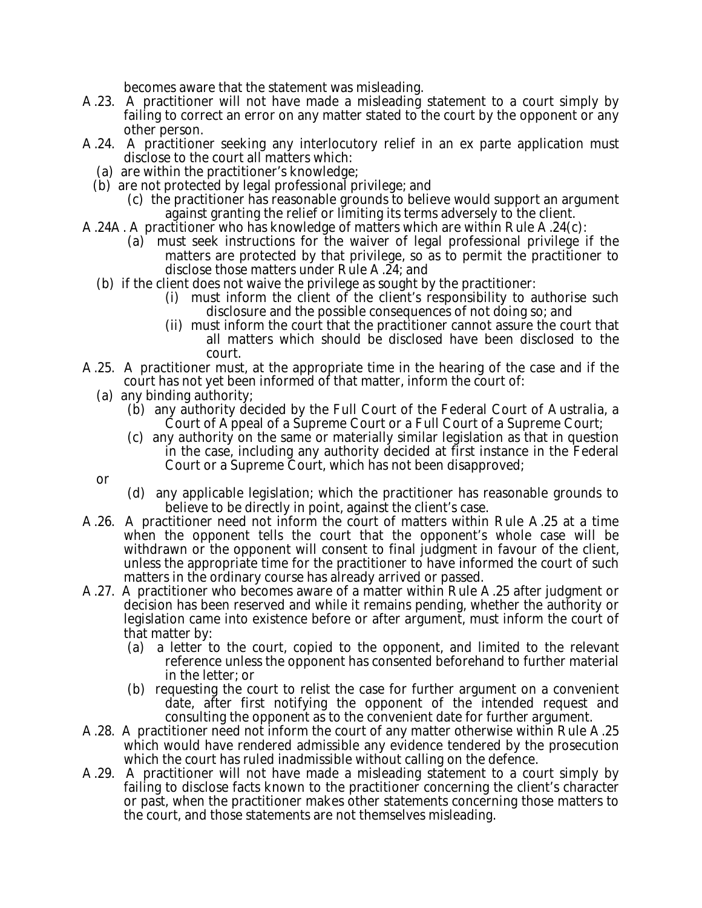becomes aware that the statement was misleading.

- A.23. A practitioner will not have made a misleading statement to a court simply by failing to correct an error on any matter stated to the court by the opponent or any other person.
- A.24. A practitioner seeking any interlocutory relief in an ex parte application must disclose to the court all matters which:
	- (a) are within the practitioner's knowledge;
	- (b) are not protected by legal professional privilege; and
		- (c) the practitioner has reasonable grounds to believe would support an argument against granting the relief or limiting its terms adversely to the client.
- A.24A. A practitioner who has knowledge of matters which are within Rule A.24(c):
	- (a) must seek instructions for the waiver of legal professional privilege if the matters are protected by that privilege, so as to permit the practitioner to disclose those matters under Rule A.24; and
	- (b) if the client does not waive the privilege as sought by the practitioner:
		- (i) must inform the client of the client's responsibility to authorise such disclosure and the possible consequences of not doing so; and
		- (ii) must inform the court that the practitioner cannot assure the court that all matters which should be disclosed have been disclosed to the court.
- A.25. A practitioner must, at the appropriate time in the hearing of the case and if the court has not yet been informed of that matter, inform the court of:
	- (a) any binding authority;
		- (b) any authority decided by the Full Court of the Federal Court of Australia, a Court of Appeal of a Supreme Court or a Full Court of a Supreme Court;
		- (c) any authority on the same or materially similar legislation as that in question in the case, including any authority decided at first instance in the Federal Court or a Supreme Court, which has not been disapproved;
	- or
- (d) any applicable legislation; which the practitioner has reasonable grounds to believe to be directly in point, against the client's case.
- A.26. A practitioner need not inform the court of matters within Rule A.25 at a time when the opponent tells the court that the opponent's whole case will be withdrawn or the opponent will consent to final judgment in favour of the client, unless the appropriate time for the practitioner to have informed the court of such matters in the ordinary course has already arrived or passed.
- A.27. A practitioner who becomes aware of a matter within Rule A.25 after judgment or decision has been reserved and while it remains pending, whether the authority or legislation came into existence before or after argument, must inform the court of that matter by:
	- (a) a letter to the court, copied to the opponent, and limited to the relevant reference unless the opponent has consented beforehand to further material in the letter; or
	- (b) requesting the court to relist the case for further argument on a convenient date, after first notifying the opponent of the intended request and consulting the opponent as to the convenient date for further argument.
- A.28. A practitioner need not inform the court of any matter otherwise within Rule A.25 which would have rendered admissible any evidence tendered by the prosecution which the court has ruled inadmissible without calling on the defence.
- A.29. A practitioner will not have made a misleading statement to a court simply by failing to disclose facts known to the practitioner concerning the client's character or past, when the practitioner makes other statements concerning those matters to the court, and those statements are not themselves misleading.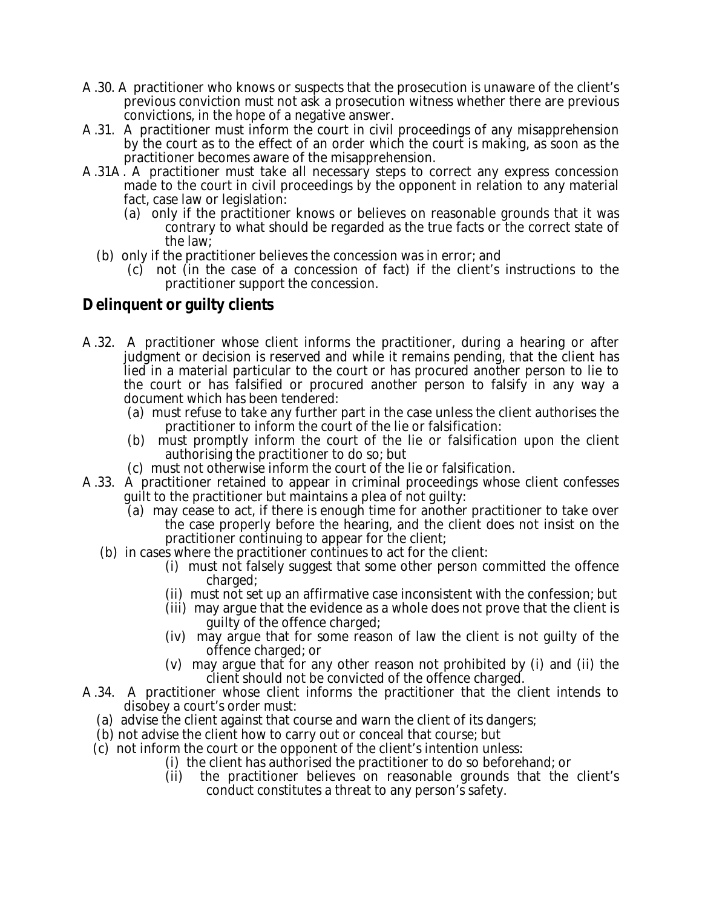- A.30. A practitioner who knows or suspects that the prosecution is unaware of the client's previous conviction must not ask a prosecution witness whether there are previous convictions, in the hope of a negative answer.
- A.31. A practitioner must inform the court in civil proceedings of any misapprehension by the court as to the effect of an order which the court is making, as soon as the practitioner becomes aware of the misapprehension.
- A.31A. A practitioner must take all necessary steps to correct any express concession made to the court in civil proceedings by the opponent in relation to any material fact, case law or legislation:
	- (a) only if the practitioner knows or believes on reasonable grounds that it was contrary to what should be regarded as the true facts or the correct state of the law;
	- (b) only if the practitioner believes the concession was in error; and
		- (c) not (in the case of a concession of fact) if the client's instructions to the practitioner support the concession.

#### **Delinquent or guilty clients**

- A.32. A practitioner whose client informs the practitioner, during a hearing or after judgment or decision is reserved and while it remains pending, that the client has lied in a material particular to the court or has procured another person to lie to the court or has falsified or procured another person to falsify in any way a document which has been tendered:
	- (a) must refuse to take any further part in the case unless the client authorises the practitioner to inform the court of the lie or falsification:
	- (b) must promptly inform the court of the lie or falsification upon the client authorising the practitioner to do so; but
	- (c) must not otherwise inform the court of the lie or falsification.
- A.33. A practitioner retained to appear in criminal proceedings whose client confesses guilt to the practitioner but maintains a plea of not guilty:
	- (a) may cease to act, if there is enough time for another practitioner to take over the case properly before the hearing, and the client does not insist on the practitioner continuing to appear for the client;
	- (b) in cases where the practitioner continues to act for the client:
		- (i) must not falsely suggest that some other person committed the offence charged;
		- (ii) must not set up an affirmative case inconsistent with the confession; but
		- (iii) may argue that the evidence as a whole does not prove that the client is guilty of the offence charged;
		- (iv) may argue that for some reason of law the client is not guilty of the offence charged; or
		- (v) may argue that for any other reason not prohibited by (i) and (ii) the client should not be convicted of the offence charged.
- A.34. A practitioner whose client informs the practitioner that the client intends to disobey a court's order must:
	- (a) advise the client against that course and warn the client of its dangers;
	- (b) not advise the client how to carry out or conceal that course; but
	- (c) not inform the court or the opponent of the client's intention unless:
		- (i) the client has authorised the practitioner to do so beforehand; or (ii) the practitioner believes on reasonable grounds that the
			- the practitioner believes on reasonable grounds that the client's conduct constitutes a threat to any person's safety.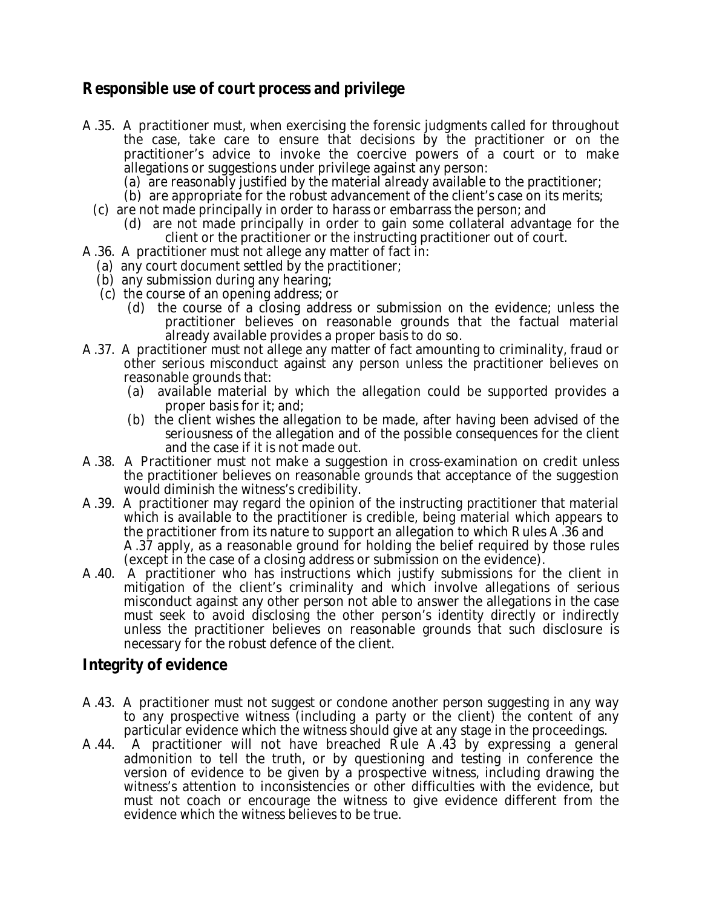#### **Responsible use of court process and privilege**

- A.35. A practitioner must, when exercising the forensic judgments called for throughout the case, take care to ensure that decisions by the practitioner or on the practitioner's advice to invoke the coercive powers of a court or to make allegations or suggestions under privilege against any person:
	- (a) are reasonably justified by the material already available to the practitioner;
	- (b) are appropriate for the robust advancement of the client's case on its merits;
	- (c) are not made principally in order to harass or embarrass the person; and
		- (d) are not made principally in order to gain some collateral advantage for the client or the practitioner or the instructing practitioner out of court.
- A.36. A practitioner must not allege any matter of fact in:
	- (a) any court document settled by the practitioner;
	- (b) any submission during any hearing;
	- (c) the course of an opening address; or
		- (d) the course of a closing address or submission on the evidence; unless the practitioner believes on reasonable grounds that the factual material already available provides a proper basis to do so.
- A.37. A practitioner must not allege any matter of fact amounting to criminality, fraud or other serious misconduct against any person unless the practitioner believes on reasonable grounds that:
	- (a) available material by which the allegation could be supported provides a proper basis for it; and;
	- (b) the client wishes the allegation to be made, after having been advised of the seriousness of the allegation and of the possible consequences for the client and the case if it is not made out.
- A.38. A Practitioner must not make a suggestion in cross-examination on credit unless the practitioner believes on reasonable grounds that acceptance of the suggestion would diminish the witness's credibility.
- A.39. A practitioner may regard the opinion of the instructing practitioner that material which is available to the practitioner is credible, being material which appears to the practitioner from its nature to support an allegation to which Rules A.36 and A.37 apply, as a reasonable ground for holding the belief required by those rules (except in the case of a closing address or submission on the evidence).
- A.40. A practitioner who has instructions which justify submissions for the client in mitigation of the client's criminality and which involve allegations of serious misconduct against any other person not able to answer the allegations in the case must seek to avoid disclosing the other person's identity directly or indirectly unless the practitioner believes on reasonable grounds that such disclosure is necessary for the robust defence of the client.

#### **Integrity of evidence**

- A.43. A practitioner must not suggest or condone another person suggesting in any way to any prospective witness (including a party or the client) the content of any particular evidence which the witness should give at any stage in the proceedings.
- A.44. A practitioner will not have breached Rule A.43 by expressing a general admonition to tell the truth, or by questioning and testing in conference the version of evidence to be given by a prospective witness, including drawing the witness's attention to inconsistencies or other difficulties with the evidence, but must not coach or encourage the witness to give evidence different from the evidence which the witness believes to be true.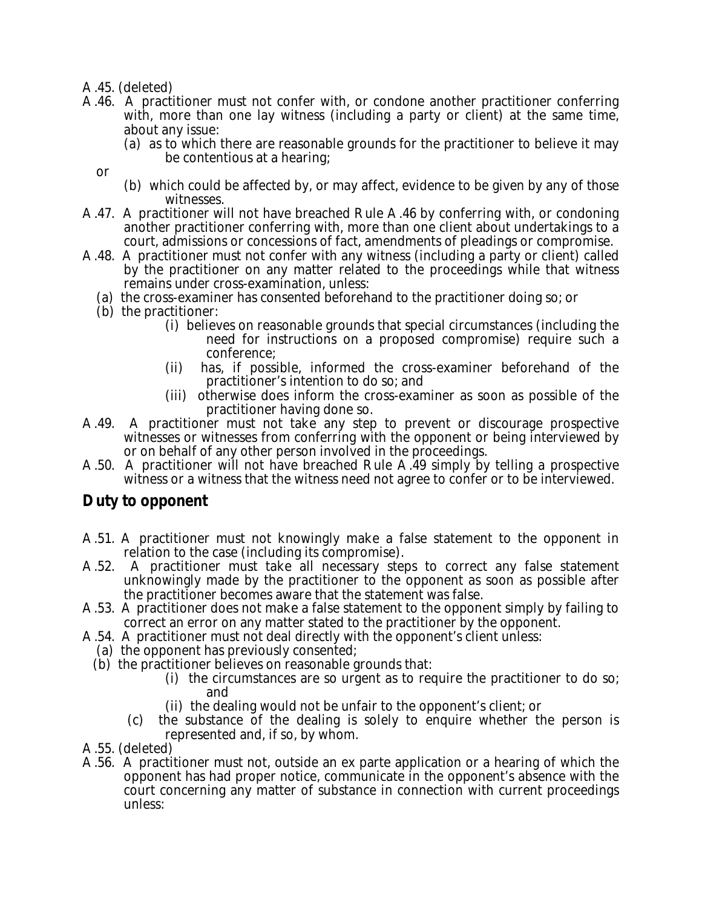#### A.45. (deleted)

- A.46. A practitioner must not confer with, or condone another practitioner conferring with, more than one lay witness (including a party or client) at the same time, about any issue:
	- (a) as to which there are reasonable grounds for the practitioner to believe it may be contentious at a hearing;
	- or
- (b) which could be affected by, or may affect, evidence to be given by any of those witnesses.
- A.47. A practitioner will not have breached Rule A.46 by conferring with, or condoning another practitioner conferring with, more than one client about undertakings to a court, admissions or concessions of fact, amendments of pleadings or compromise.
- A.48. A practitioner must not confer with any witness (including a party or client) called by the practitioner on any matter related to the proceedings while that witness remains under cross-examination, unless:
	- (a) the cross-examiner has consented beforehand to the practitioner doing so; or
	- (b) the practitioner:
		- (i) believes on reasonable grounds that special circumstances (including the need for instructions on a proposed compromise) require such a conference;
		- (ii) has, if possible, informed the cross-examiner beforehand of the practitioner's intention to do so; and
		- (iii) otherwise does inform the cross-examiner as soon as possible of the practitioner having done so.
- A.49. A practitioner must not take any step to prevent or discourage prospective witnesses or witnesses from conferring with the opponent or being interviewed by or on behalf of any other person involved in the proceedings.
- A.50. A practitioner will not have breached Rule A.49 simply by telling a prospective witness or a witness that the witness need not agree to confer or to be interviewed.

#### **Duty to opponent**

- A.51. A practitioner must not knowingly make a false statement to the opponent in relation to the case (including its compromise).
- A.52. A practitioner must take all necessary steps to correct any false statement unknowingly made by the practitioner to the opponent as soon as possible after the practitioner becomes aware that the statement was false.
- A.53. A practitioner does not make a false statement to the opponent simply by failing to correct an error on any matter stated to the practitioner by the opponent.
- A.54. A practitioner must not deal directly with the opponent's client unless:
	- (a) the opponent has previously consented;
	- (b) the practitioner believes on reasonable grounds that:
		- (i) the circumstances are so urgent as to require the practitioner to do so; and
		- (ii) the dealing would not be unfair to the opponent's client; or
		- (c) the substance of the dealing is solely to enquire whether the person is represented and, if so, by whom.
- A.55. (deleted)
- A.56. A practitioner must not, outside an ex parte application or a hearing of which the opponent has had proper notice, communicate in the opponent's absence with the court concerning any matter of substance in connection with current proceedings unless: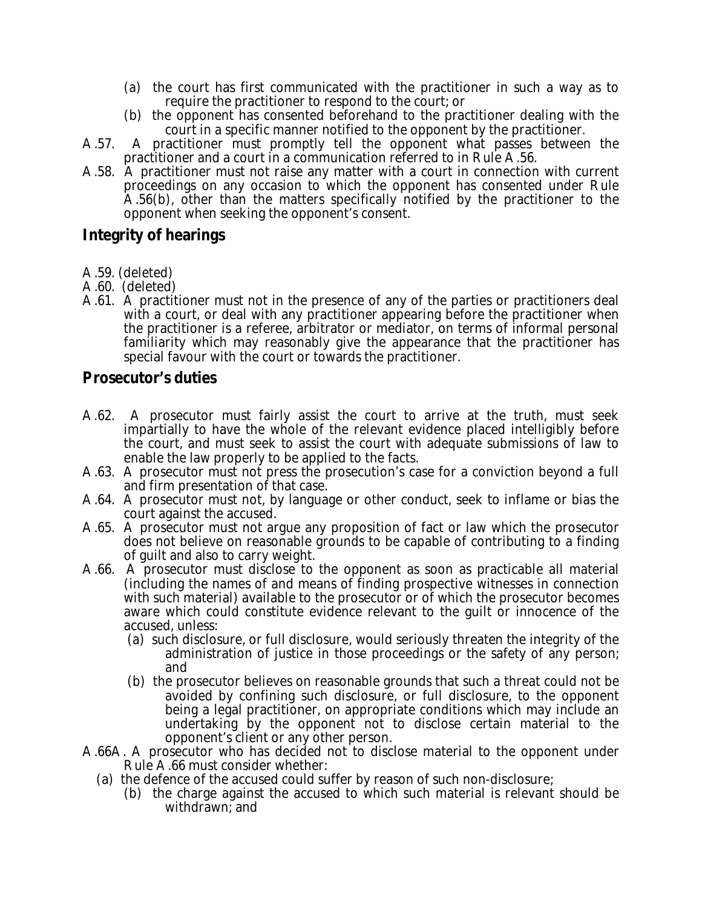- (a) the court has first communicated with the practitioner in such a way as to require the practitioner to respond to the court; or
- (b) the opponent has consented beforehand to the practitioner dealing with the court in a specific manner notified to the opponent by the practitioner.
- A.57. A practitioner must promptly tell the opponent what passes between the practitioner and a court in a communication referred to in Rule A.56.
- A.58. A practitioner must not raise any matter with a court in connection with current proceedings on any occasion to which the opponent has consented under Rule A.56(b), other than the matters specifically notified by the practitioner to the opponent when seeking the opponent's consent.

### **Integrity of hearings**

- A.59. (deleted)
- A.60. (deleted)
- A.61. A practitioner must not in the presence of any of the parties or practitioners deal with a court, or deal with any practitioner appearing before the practitioner when the practitioner is a referee, arbitrator or mediator, on terms of informal personal familiarity which may reasonably give the appearance that the practitioner has special favour with the court or towards the practitioner.

#### **Prosecutor's duties**

- A.62. A prosecutor must fairly assist the court to arrive at the truth, must seek impartially to have the whole of the relevant evidence placed intelligibly before the court, and must seek to assist the court with adequate submissions of law to enable the law properly to be applied to the facts.
- A.63. A prosecutor must not press the prosecution's case for a conviction beyond a full and firm presentation of that case.
- A.64. A prosecutor must not, by language or other conduct, seek to inflame or bias the court against the accused.
- A.65. A prosecutor must not argue any proposition of fact or law which the prosecutor does not believe on reasonable grounds to be capable of contributing to a finding of guilt and also to carry weight.
- A.66. A prosecutor must disclose to the opponent as soon as practicable all material (including the names of and means of finding prospective witnesses in connection with such material) available to the prosecutor or of which the prosecutor becomes aware which could constitute evidence relevant to the guilt or innocence of the accused, unless:
	- (a) such disclosure, or full disclosure, would seriously threaten the integrity of the administration of justice in those proceedings or the safety of any person; and
	- (b) the prosecutor believes on reasonable grounds that such a threat could not be avoided by confining such disclosure, or full disclosure, to the opponent being a legal practitioner, on appropriate conditions which may include an undertaking by the opponent not to disclose certain material to the opponent's client or any other person.
- A.66A. A prosecutor who has decided not to disclose material to the opponent under Rule A.66 must consider whether:
	- (a) the defence of the accused could suffer by reason of such non-disclosure;
		- (b) the charge against the accused to which such material is relevant should be withdrawn; and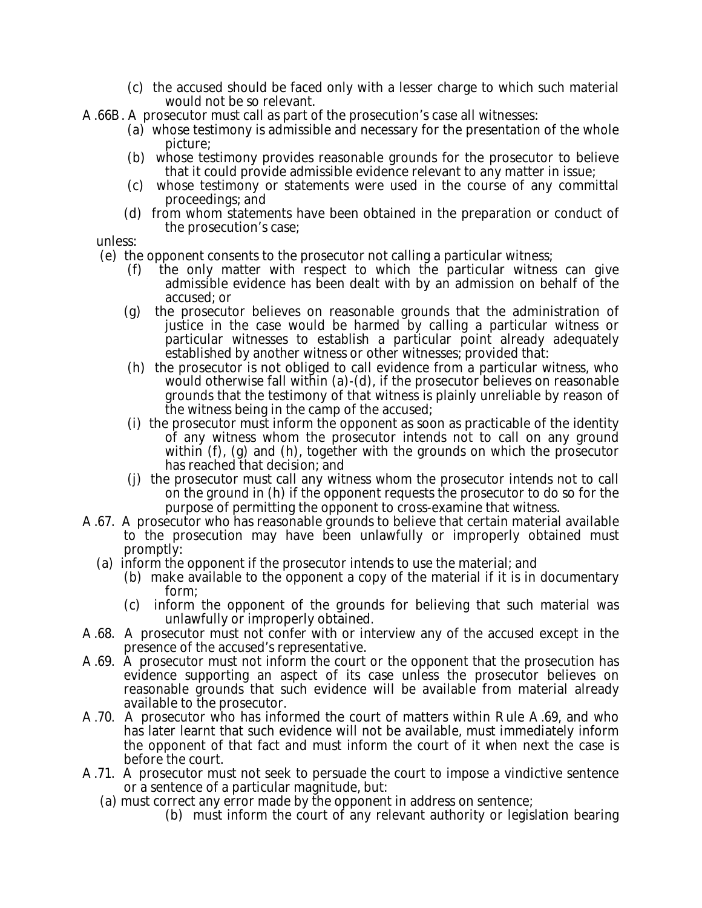- (c) the accused should be faced only with a lesser charge to which such material would not be so relevant.
- A.66B. A prosecutor must call as part of the prosecution's case all witnesses:
	- (a) whose testimony is admissible and necessary for the presentation of the whole picture;
	- (b) whose testimony provides reasonable grounds for the prosecutor to believe that it could provide admissible evidence relevant to any matter in issue;
	- (c) whose testimony or statements were used in the course of any committal proceedings; and
	- (d) from whom statements have been obtained in the preparation or conduct of the prosecution's case;

unless:

- (e) the opponent consents to the prosecutor not calling a particular witness;
	- (f) the only matter with respect to which the particular witness can give admissible evidence has been dealt with by an admission on behalf of the accused; or
	- (g) the prosecutor believes on reasonable grounds that the administration of justice in the case would be harmed by calling a particular witness or particular witnesses to establish a particular point already adequately established by another witness or other witnesses; provided that:
	- (h) the prosecutor is not obliged to call evidence from a particular witness, who would otherwise fall within (a)-(d), if the prosecutor believes on reasonable grounds that the testimony of that witness is plainly unreliable by reason of the witness being in the camp of the accused;
	- (i) the prosecutor must inform the opponent as soon as practicable of the identity of any witness whom the prosecutor intends not to call on any ground within (f), (g) and (h), together with the grounds on which the prosecutor has reached that decision; and
	- (j) the prosecutor must call any witness whom the prosecutor intends not to call on the ground in (h) if the opponent requests the prosecutor to do so for the purpose of permitting the opponent to cross-examine that witness.
- A.67. A prosecutor who has reasonable grounds to believe that certain material available to the prosecution may have been unlawfully or improperly obtained must promptly:
	- (a) inform the opponent if the prosecutor intends to use the material; and
		- (b) make available to the opponent a copy of the material if it is in documentary form;
		- (c) inform the opponent of the grounds for believing that such material was unlawfully or improperly obtained.
- A.68. A prosecutor must not confer with or interview any of the accused except in the presence of the accused's representative.
- A.69. A prosecutor must not inform the court or the opponent that the prosecution has evidence supporting an aspect of its case unless the prosecutor believes on reasonable grounds that such evidence will be available from material already available to the prosecutor.
- A.70. A prosecutor who has informed the court of matters within Rule A.69, and who has later learnt that such evidence will not be available, must immediately inform the opponent of that fact and must inform the court of it when next the case is before the court.
- A.71. A prosecutor must not seek to persuade the court to impose a vindictive sentence or a sentence of a particular magnitude, but:
	- (a) must correct any error made by the opponent in address on sentence;
		- (b) must inform the court of any relevant authority or legislation bearing